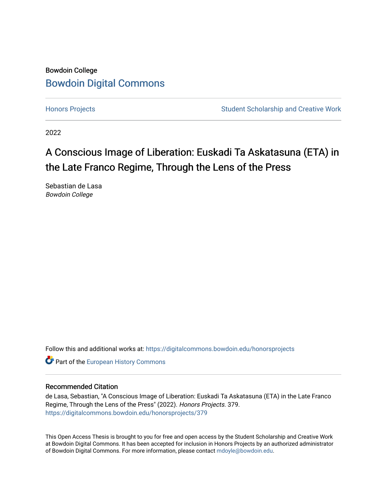# Bowdoin College [Bowdoin Digital Commons](https://digitalcommons.bowdoin.edu/)

[Honors Projects](https://digitalcommons.bowdoin.edu/honorsprojects) **Student Scholarship and Creative Work** Student Scholarship and Creative Work

2022

# A Conscious Image of Liberation: Euskadi Ta Askatasuna (ETA) in the Late Franco Regime, Through the Lens of the Press

Sebastian de Lasa Bowdoin College

Follow this and additional works at: [https://digitalcommons.bowdoin.edu/honorsprojects](https://digitalcommons.bowdoin.edu/honorsprojects?utm_source=digitalcommons.bowdoin.edu%2Fhonorsprojects%2F379&utm_medium=PDF&utm_campaign=PDFCoverPages)

**Part of the [European History Commons](https://network.bepress.com/hgg/discipline/492?utm_source=digitalcommons.bowdoin.edu%2Fhonorsprojects%2F379&utm_medium=PDF&utm_campaign=PDFCoverPages)** 

#### Recommended Citation

de Lasa, Sebastian, "A Conscious Image of Liberation: Euskadi Ta Askatasuna (ETA) in the Late Franco Regime, Through the Lens of the Press" (2022). Honors Projects. 379. [https://digitalcommons.bowdoin.edu/honorsprojects/379](https://digitalcommons.bowdoin.edu/honorsprojects/379?utm_source=digitalcommons.bowdoin.edu%2Fhonorsprojects%2F379&utm_medium=PDF&utm_campaign=PDFCoverPages)

This Open Access Thesis is brought to you for free and open access by the Student Scholarship and Creative Work at Bowdoin Digital Commons. It has been accepted for inclusion in Honors Projects by an authorized administrator of Bowdoin Digital Commons. For more information, please contact [mdoyle@bowdoin.edu.](mailto:mdoyle@bowdoin.edu)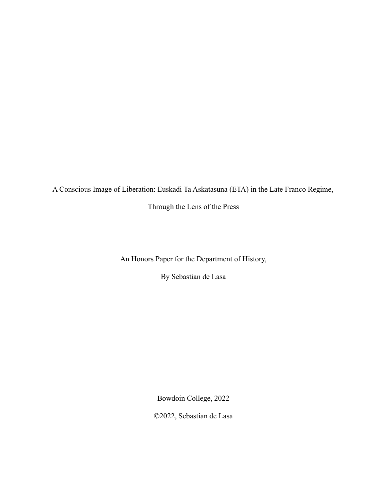A Conscious Image of Liberation: Euskadi Ta Askatasuna (ETA) in the Late Franco Regime,

Through the Lens of the Press

An Honors Paper for the Department of History,

By Sebastian de Lasa

Bowdoin College, 2022

©2022, Sebastian de Lasa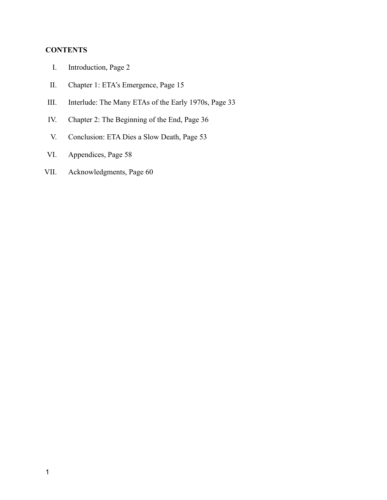## **CONTENTS**

- I. Introduction, Page 2
- II. Chapter 1: ETA's Emergence, Page 15
- III. Interlude: The Many ETAs of the Early 1970s, Page 33
- IV. Chapter 2: The Beginning of the End, Page 36
- V. Conclusion: ETA Dies a Slow Death, Page 53
- VI. Appendices, Page 58
- VII. Acknowledgments, Page 60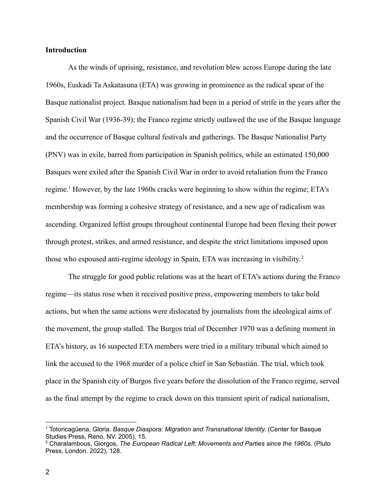#### **Introduction**

As the winds of uprising, resistance, and revolution blew across Europe during the late 1960s, Euskadi Ta Askatasuna (ETA) was growing in prominence as the radical spear of the Basque nationalist project. Basque nationalism had been in a period of strife in the years after the Spanish Civil War (1936-39); the Franco regime strictly outlawed the use of the Basque language and the occurrence of Basque cultural festivals and gatherings. The Basque Nationalist Party (PNV) was in exile, barred from participation in Spanish politics, while an estimated 150,000 Basques were exiled after the Spanish Civil War in order to avoid retaliation from the Franco regime.<sup>1</sup> However, by the late 1960s cracks were beginning to show within the regime; ETA's membership was forming a cohesive strategy of resistance, and a new age of radicalism was ascending. Organized leftist groups throughout continental Europe had been flexing their power through protest, strikes, and armed resistance, and despite the strict limitations imposed upon those who espoused anti-regime ideology in Spain, ETA was increasing in visibility. 2

The struggle for good public relations was at the heart of ETA's actions during the Franco regime—its status rose when it received positive press, empowering members to take bold actions, but when the same actions were dislocated by journalists from the ideological aims of the movement, the group stalled. The Burgos trial of December 1970 was a defining moment in ETA's history, as 16 suspected ETA members were tried in a military tribunal which aimed to link the accused to the 1968 murder of a police chief in San Sebastián. The trial, which took place in the Spanish city of Burgos five years before the dissolution of the Franco regime, served as the final attempt by the regime to crack down on this transient spirit of radical nationalism,

<sup>1</sup> Totoricagüena, Gloria. *Basque Diaspora: Migration and Transnational Identity.* (Center for Basque Studies Press, Reno, NV. 2005), 15.

<sup>2</sup> Charalambous, Giorgos, *The European Radical Left: Movements and Parties since the 1960s*. (Pluto Press, London. 2022), 128.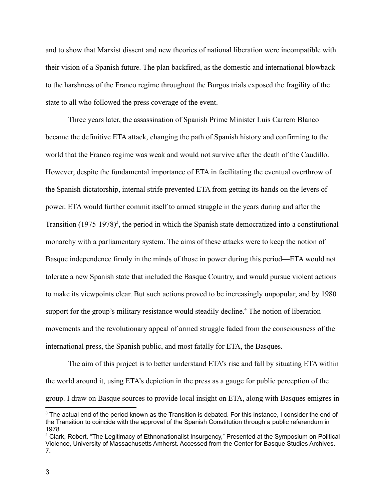and to show that Marxist dissent and new theories of national liberation were incompatible with their vision of a Spanish future. The plan backfired, as the domestic and international blowback to the harshness of the Franco regime throughout the Burgos trials exposed the fragility of the state to all who followed the press coverage of the event.

Three years later, the assassination of Spanish Prime Minister Luis Carrero Blanco became the definitive ETA attack, changing the path of Spanish history and confirming to the world that the Franco regime was weak and would not survive after the death of the Caudillo. However, despite the fundamental importance of ETA in facilitating the eventual overthrow of the Spanish dictatorship, internal strife prevented ETA from getting its hands on the levers of power. ETA would further commit itself to armed struggle in the years during and after the Transition (1975-1978)<sup>3</sup>, the period in which the Spanish state democratized into a constitutional monarchy with a parliamentary system. The aims of these attacks were to keep the notion of Basque independence firmly in the minds of those in power during this period—ETA would not tolerate a new Spanish state that included the Basque Country, and would pursue violent actions to make its viewpoints clear. But such actions proved to be increasingly unpopular, and by 1980 support for the group's military resistance would steadily decline.<sup>4</sup> The notion of liberation movements and the revolutionary appeal of armed struggle faded from the consciousness of the international press, the Spanish public, and most fatally for ETA, the Basques.

The aim of this project is to better understand ETA's rise and fall by situating ETA within the world around it, using ETA's depiction in the press as a gauge for public perception of the group. I draw on Basque sources to provide local insight on ETA, along with Basques emigres in

<sup>&</sup>lt;sup>3</sup> The actual end of the period known as the Transition is debated. For this instance, I consider the end of the Transition to coincide with the approval of the Spanish Constitution through a public referendum in 1978.

<sup>4</sup> Clark, Robert. "The Legitimacy of Ethnonationalist Insurgency," Presented at the Symposium on Political Violence, University of Massachusetts Amherst. Accessed from the Center for Basque Studies Archives. 7.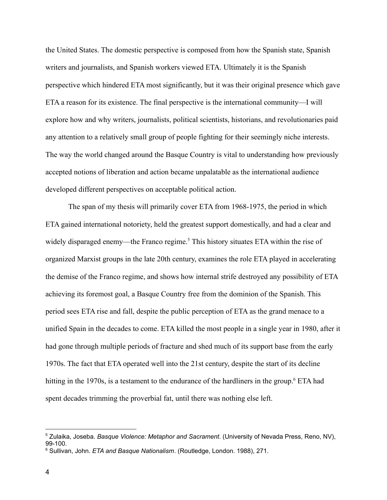the United States. The domestic perspective is composed from how the Spanish state, Spanish writers and journalists, and Spanish workers viewed ETA. Ultimately it is the Spanish perspective which hindered ETA most significantly, but it was their original presence which gave ETA a reason for its existence. The final perspective is the international community—I will explore how and why writers, journalists, political scientists, historians, and revolutionaries paid any attention to a relatively small group of people fighting for their seemingly niche interests. The way the world changed around the Basque Country is vital to understanding how previously accepted notions of liberation and action became unpalatable as the international audience developed different perspectives on acceptable political action.

The span of my thesis will primarily cover ETA from 1968-1975, the period in which ETA gained international notoriety, held the greatest support domestically, and had a clear and widely disparaged enemy—the Franco regime.<sup>5</sup> This history situates ETA within the rise of organized Marxist groups in the late 20th century, examines the role ETA played in accelerating the demise of the Franco regime, and shows how internal strife destroyed any possibility of ETA achieving its foremost goal, a Basque Country free from the dominion of the Spanish. This period sees ETA rise and fall, despite the public perception of ETA as the grand menace to a unified Spain in the decades to come. ETA killed the most people in a single year in 1980, after it had gone through multiple periods of fracture and shed much of its support base from the early 1970s. The fact that ETA operated well into the 21st century, despite the start of its decline hitting in the 1970s, is a testament to the endurance of the hardliners in the group.<sup>6</sup> ETA had spent decades trimming the proverbial fat, until there was nothing else left.

<sup>5</sup> Zulaika, Joseba. *Basque Violence: Metaphor and Sacrament*. (University of Nevada Press, Reno, NV), 99-100.

<sup>6</sup> Sullivan, John. *ETA and Basque Nationalism*. (Routledge, London. 1988), 271.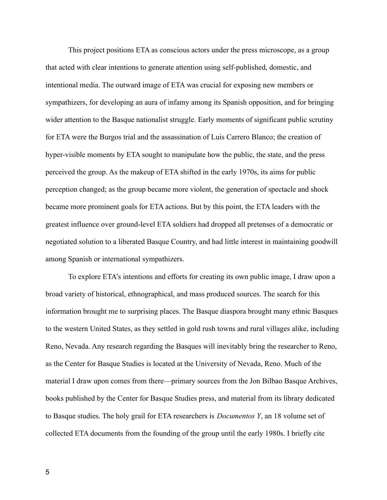This project positions ETA as conscious actors under the press microscope, as a group that acted with clear intentions to generate attention using self-published, domestic, and intentional media. The outward image of ETA was crucial for exposing new members or sympathizers, for developing an aura of infamy among its Spanish opposition, and for bringing wider attention to the Basque nationalist struggle. Early moments of significant public scrutiny for ETA were the Burgos trial and the assassination of Luis Carrero Blanco; the creation of hyper-visible moments by ETA sought to manipulate how the public, the state, and the press perceived the group. As the makeup of ETA shifted in the early 1970s, its aims for public perception changed; as the group became more violent, the generation of spectacle and shock became more prominent goals for ETA actions. But by this point, the ETA leaders with the greatest influence over ground-level ETA soldiers had dropped all pretenses of a democratic or negotiated solution to a liberated Basque Country, and had little interest in maintaining goodwill among Spanish or international sympathizers.

To explore ETA's intentions and efforts for creating its own public image, I draw upon a broad variety of historical, ethnographical, and mass produced sources. The search for this information brought me to surprising places. The Basque diaspora brought many ethnic Basques to the western United States, as they settled in gold rush towns and rural villages alike, including Reno, Nevada. Any research regarding the Basques will inevitably bring the researcher to Reno, as the Center for Basque Studies is located at the University of Nevada, Reno. Much of the material I draw upon comes from there—primary sources from the Jon Bilbao Basque Archives, books published by the Center for Basque Studies press, and material from its library dedicated to Basque studies. The holy grail for ETA researchers is *Documentos Y*, an 18 volume set of collected ETA documents from the founding of the group until the early 1980s. I briefly cite

5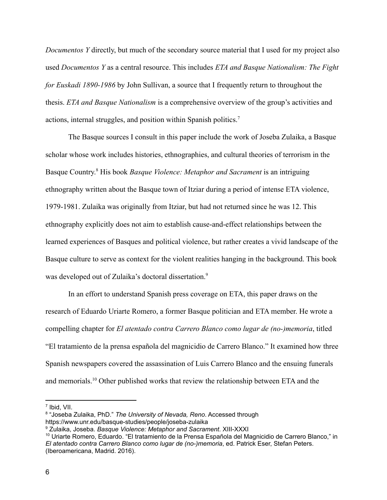*Documentos Y* directly, but much of the secondary source material that I used for my project also used *Documentos Y* as a central resource. This includes *ETA and Basque Nationalism: The Fight for Euskadi 1890-1986* by John Sullivan, a source that I frequently return to throughout the thesis. *ETA and Basque Nationalism* is a comprehensive overview of the group's activities and actions, internal struggles, and position within Spanish politics.<sup>7</sup>

The Basque sources I consult in this paper include the work of Joseba Zulaika, a Basque scholar whose work includes histories, ethnographies, and cultural theories of terrorism in the Basque Country. <sup>8</sup> His book *Basque Violence: Metaphor and Sacrament* is an intriguing ethnography written about the Basque town of Itziar during a period of intense ETA violence, 1979-1981. Zulaika was originally from Itziar, but had not returned since he was 12. This ethnography explicitly does not aim to establish cause-and-effect relationships between the learned experiences of Basques and political violence, but rather creates a vivid landscape of the Basque culture to serve as context for the violent realities hanging in the background. This book was developed out of Zulaika's doctoral dissertation.<sup>9</sup>

In an effort to understand Spanish press coverage on ETA, this paper draws on the research of Eduardo Uriarte Romero, a former Basque politician and ETA member. He wrote a compelling chapter for *El atentado contra Carrero Blanco como lugar de (no-)memoria*, titled "El tratamiento de la prensa española del magnicidio de Carrero Blanco." It examined how three Spanish newspapers covered the assassination of Luis Carrero Blanco and the ensuing funerals and memorials.<sup>10</sup> Other published works that review the relationship between ETA and the

7 Ibid, VII.

<sup>8</sup> "Joseba Zulaika, PhD." *The University of Nevada, Reno*. Accessed through https://www.unr.edu/basque-studies/people/joseba-zulaika

<sup>9</sup> Zulaika, Joseba. *Basque Violence: Metaphor and Sacrament*. XIII-XXXI

<sup>10</sup> Uriarte Romero, Eduardo. "El tratamiento de la Prensa Española del Magnicidio de Carrero Blanco," in *El atentado contra Carrero Blanco como lugar de (no-)memoria*, ed. Patrick Eser, Stefan Peters. (Iberoamericana, Madrid. 2016).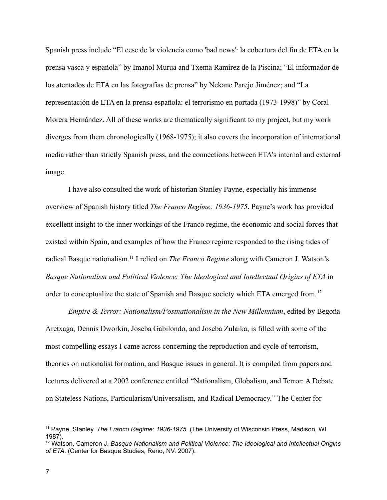Spanish press include "El cese de la violencia como 'bad news': la cobertura del fin de ETA en la prensa vasca y española" by Imanol Murua and Txema Ramírez de la Piscina; "El informador de los atentados de ETA en las fotografías de prensa" by Nekane Parejo Jiménez; and "La representación de ETA en la prensa española: el terrorismo en portada (1973-1998)" by Coral Morera Hernández. All of these works are thematically significant to my project, but my work diverges from them chronologically (1968-1975); it also covers the incorporation of international media rather than strictly Spanish press, and the connections between ETA's internal and external image.

I have also consulted the work of historian Stanley Payne, especially his immense overview of Spanish history titled *The Franco Regime: 1936-1975*. Payne's work has provided excellent insight to the inner workings of the Franco regime, the economic and social forces that existed within Spain, and examples of how the Franco regime responded to the rising tides of radical Basque nationalism.<sup>11</sup> I relied on *The Franco Regime* along with Cameron J. Watson's *Basque Nationalism and Political Violence: The Ideological and Intellectual Origins of ETA* in order to conceptualize the state of Spanish and Basque society which ETA emerged from.<sup>12</sup>

*Empire & Terror: Nationalism/Postnationalism in the New Millennium*, edited by Begoña Aretxaga, Dennis Dworkin, Joseba Gabilondo, and Joseba Zulaika, is filled with some of the most compelling essays I came across concerning the reproduction and cycle of terrorism, theories on nationalist formation, and Basque issues in general. It is compiled from papers and lectures delivered at a 2002 conference entitled "Nationalism, Globalism, and Terror: A Debate on Stateless Nations, Particularism/Universalism, and Radical Democracy." The Center for

<sup>11</sup> Payne, Stanley. *The Franco Regime: 1936-1975*. (The University of Wisconsin Press, Madison, WI. 1987).

<sup>12</sup> Watson, Cameron J. *Basque Nationalism and Political Violence: The Ideological and Intellectual Origins of ETA*. (Center for Basque Studies, Reno, NV. 2007).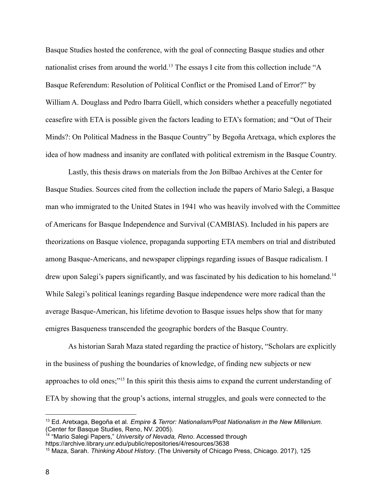Basque Studies hosted the conference, with the goal of connecting Basque studies and other nationalist crises from around the world.<sup>13</sup> The essays I cite from this collection include "A Basque Referendum: Resolution of Political Conflict or the Promised Land of Error?" by William A. Douglass and Pedro Ibarra Güell, which considers whether a peacefully negotiated ceasefire with ETA is possible given the factors leading to ETA's formation; and "Out of Their Minds?: On Political Madness in the Basque Country" by Begoña Aretxaga, which explores the idea of how madness and insanity are conflated with political extremism in the Basque Country.

Lastly, this thesis draws on materials from the Jon Bilbao Archives at the Center for Basque Studies. Sources cited from the collection include the papers of Mario Salegi, a Basque man who immigrated to the United States in 1941 who was heavily involved with the Committee of Americans for Basque Independence and Survival (CAMBIAS). Included in his papers are theorizations on Basque violence, propaganda supporting ETA members on trial and distributed among Basque-Americans, and newspaper clippings regarding issues of Basque radicalism. I drew upon Salegi's papers significantly, and was fascinated by his dedication to his homeland.<sup>14</sup> While Salegi's political leanings regarding Basque independence were more radical than the average Basque-American, his lifetime devotion to Basque issues helps show that for many emigres Basqueness transcended the geographic borders of the Basque Country.

As historian Sarah Maza stated regarding the practice of history, "Scholars are explicitly in the business of pushing the boundaries of knowledge, of finding new subjects or new approaches to old ones;"<sup>15</sup> In this spirit this thesis aims to expand the current understanding of ETA by showing that the group's actions, internal struggles, and goals were connected to the

<sup>13</sup> Ed. Aretxaga, Begoña et al. *Empire & Terror: Nationalism/Post Nationalism in the New Millenium*. (Center for Basque Studies, Reno, NV. 2005).

<sup>14</sup> "Mario Salegi Papers," *University of Nevada, Reno*. Accessed through https://archive.library.unr.edu/public/repositories/4/resources/3638

<sup>15</sup> Maza, Sarah. *Thinking About History*. (The University of Chicago Press, Chicago. 2017), 125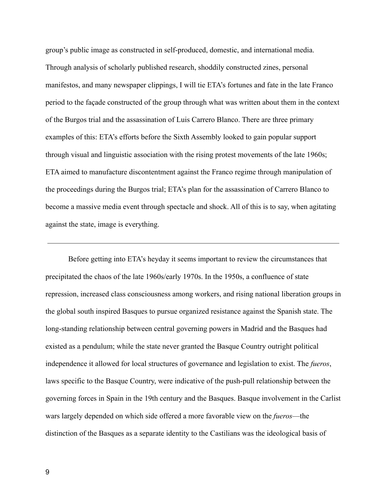group's public image as constructed in self-produced, domestic, and international media. Through analysis of scholarly published research, shoddily constructed zines, personal manifestos, and many newspaper clippings, I will tie ETA's fortunes and fate in the late Franco period to the façade constructed of the group through what was written about them in the context of the Burgos trial and the assassination of Luis Carrero Blanco. There are three primary examples of this: ETA's efforts before the Sixth Assembly looked to gain popular support through visual and linguistic association with the rising protest movements of the late 1960s; ETA aimed to manufacture discontentment against the Franco regime through manipulation of the proceedings during the Burgos trial; ETA's plan for the assassination of Carrero Blanco to become a massive media event through spectacle and shock. All of this is to say, when agitating against the state, image is everything.

Before getting into ETA's heyday it seems important to review the circumstances that precipitated the chaos of the late 1960s/early 1970s. In the 1950s, a confluence of state repression, increased class consciousness among workers, and rising national liberation groups in the global south inspired Basques to pursue organized resistance against the Spanish state. The long-standing relationship between central governing powers in Madrid and the Basques had existed as a pendulum; while the state never granted the Basque Country outright political independence it allowed for local structures of governance and legislation to exist. The *fueros*, laws specific to the Basque Country, were indicative of the push-pull relationship between the governing forces in Spain in the 19th century and the Basques. Basque involvement in the Carlist wars largely depended on which side offered a more favorable view on the *fueros*—the distinction of the Basques as a separate identity to the Castilians was the ideological basis of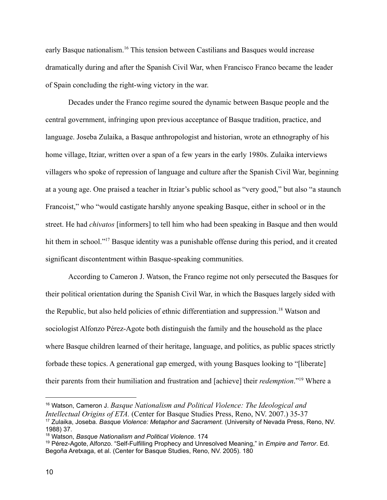early Basque nationalism.<sup>16</sup> This tension between Castilians and Basques would increase dramatically during and after the Spanish Civil War, when Francisco Franco became the leader of Spain concluding the right-wing victory in the war.

Decades under the Franco regime soured the dynamic between Basque people and the central government, infringing upon previous acceptance of Basque tradition, practice, and language. Joseba Zulaika, a Basque anthropologist and historian, wrote an ethnography of his home village, Itziar, written over a span of a few years in the early 1980s. Zulaika interviews villagers who spoke of repression of language and culture after the Spanish Civil War, beginning at a young age. One praised a teacher in Itziar's public school as "very good," but also "a staunch Francoist," who "would castigate harshly anyone speaking Basque, either in school or in the street. He had *chivatos* [informers] to tell him who had been speaking in Basque and then would hit them in school."<sup>17</sup> Basque identity was a punishable offense during this period, and it created significant discontentment within Basque-speaking communities.

According to Cameron J. Watson, the Franco regime not only persecuted the Basques for their political orientation during the Spanish Civil War, in which the Basques largely sided with the Republic, but also held policies of ethnic differentiation and suppression.<sup>18</sup> Watson and sociologist Alfonzo Pérez-Agote both distinguish the family and the household as the place where Basque children learned of their heritage, language, and politics, as public spaces strictly forbade these topics. A generational gap emerged, with young Basques looking to "[liberate] their parents from their humiliation and frustration and [achieve] their *redemption*."<sup>19</sup> Where a

<sup>17</sup> Zulaika, Joseba. *Basque Violence: Metaphor and Sacrament.* (University of Nevada Press, Reno, NV. 1988) 37. <sup>16</sup> Watson, Cameron J. *Basque Nationalism and Political Violence: The Ideological and Intellectual Origins of ETA.* (Center for Basque Studies Press, Reno, NV. 2007.) 35-37

<sup>18</sup> Watson, *Basque Nationalism and Political Violence*. 174

<sup>19</sup> Pérez-Agote, Alfonzo. "Self-Fulfilling Prophecy and Unresolved Meaning," in *Empire and Terror*. Ed. Begoña Aretxaga, et al. (Center for Basque Studies, Reno, NV. 2005). 180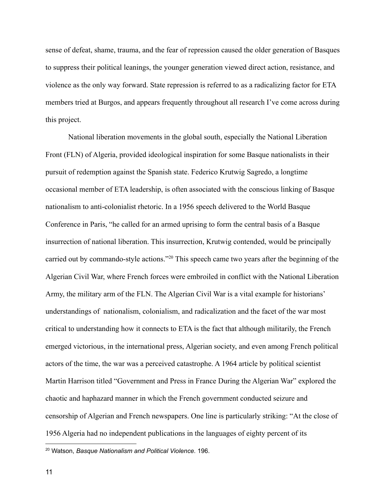sense of defeat, shame, trauma, and the fear of repression caused the older generation of Basques to suppress their political leanings, the younger generation viewed direct action, resistance, and violence as the only way forward. State repression is referred to as a radicalizing factor for ETA members tried at Burgos, and appears frequently throughout all research I've come across during this project.

National liberation movements in the global south, especially the National Liberation Front (FLN) of Algeria, provided ideological inspiration for some Basque nationalists in their pursuit of redemption against the Spanish state. Federico Krutwig Sagredo, a longtime occasional member of ETA leadership, is often associated with the conscious linking of Basque nationalism to anti-colonialist rhetoric. In a 1956 speech delivered to the World Basque Conference in Paris, "he called for an armed uprising to form the central basis of a Basque insurrection of national liberation. This insurrection, Krutwig contended, would be principally carried out by commando-style actions."<sup>20</sup> This speech came two years after the beginning of the Algerian Civil War, where French forces were embroiled in conflict with the National Liberation Army, the military arm of the FLN. The Algerian Civil War is a vital example for historians' understandings of nationalism, colonialism, and radicalization and the facet of the war most critical to understanding how it connects to ETA is the fact that although militarily, the French emerged victorious, in the international press, Algerian society, and even among French political actors of the time, the war was a perceived catastrophe. A 1964 article by political scientist Martin Harrison titled "Government and Press in France During the Algerian War" explored the chaotic and haphazard manner in which the French government conducted seizure and censorship of Algerian and French newspapers. One line is particularly striking: "At the close of 1956 Algeria had no independent publications in the languages of eighty percent of its

<sup>20</sup> Watson, *Basque Nationalism and Political Violence.* 196.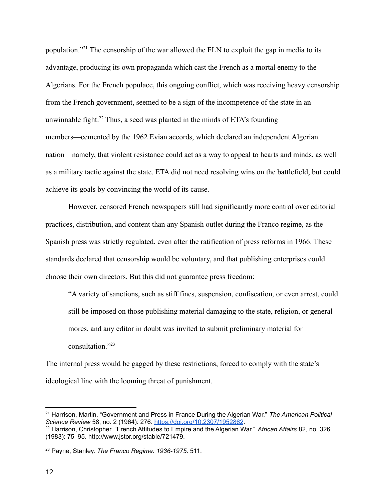population."<sup>21</sup> The censorship of the war allowed the FLN to exploit the gap in media to its advantage, producing its own propaganda which cast the French as a mortal enemy to the Algerians. For the French populace, this ongoing conflict, which was receiving heavy censorship from the French government, seemed to be a sign of the incompetence of the state in an unwinnable fight.<sup>22</sup> Thus, a seed was planted in the minds of ETA's founding members—cemented by the 1962 Evian accords, which declared an independent Algerian nation—namely, that violent resistance could act as a way to appeal to hearts and minds, as well as a military tactic against the state. ETA did not need resolving wins on the battlefield, but could achieve its goals by convincing the world of its cause.

However, censored French newspapers still had significantly more control over editorial practices, distribution, and content than any Spanish outlet during the Franco regime, as the Spanish press was strictly regulated, even after the ratification of press reforms in 1966. These standards declared that censorship would be voluntary, and that publishing enterprises could choose their own directors. But this did not guarantee press freedom:

"A variety of sanctions, such as stiff fines, suspension, confiscation, or even arrest, could still be imposed on those publishing material damaging to the state, religion, or general mores, and any editor in doubt was invited to submit preliminary material for consultation<sup>"23</sup>

The internal press would be gagged by these restrictions, forced to comply with the state's ideological line with the looming threat of punishment.

<sup>21</sup> Harrison, Martin. "Government and Press in France During the Algerian War." *The American Political Science Review* 58, no. 2 (1964): 276. <https://doi.org/10.2307/1952862>.

<sup>22</sup> Harrison, Christopher. "French Attitudes to Empire and the Algerian War." *African Affairs* 82, no. 326 (1983): 75–95. http://www.jstor.org/stable/721479.

<sup>23</sup> Payne, Stanley. *The Franco Regime: 1936-1975*. 511.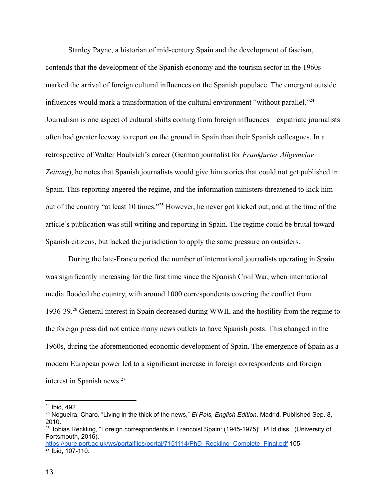Stanley Payne, a historian of mid-century Spain and the development of fascism, contends that the development of the Spanish economy and the tourism sector in the 1960s marked the arrival of foreign cultural influences on the Spanish populace. The emergent outside influences would mark a transformation of the cultural environment "without parallel."<sup>24</sup> Journalism is one aspect of cultural shifts coming from foreign influences—expatriate journalists often had greater leeway to report on the ground in Spain than their Spanish colleagues. In a retrospective of Walter Haubrich's career (German journalist for *Frankfurter Allgemeine Zeitung*), he notes that Spanish journalists would give him stories that could not get published in Spain. This reporting angered the regime, and the information ministers threatened to kick him out of the country "at least 10 times."<sup>25</sup> However, he never got kicked out, and at the time of the article's publication was still writing and reporting in Spain. The regime could be brutal toward Spanish citizens, but lacked the jurisdiction to apply the same pressure on outsiders.

During the late-Franco period the number of international journalists operating in Spain was significantly increasing for the first time since the Spanish Civil War, when international media flooded the country, with around 1000 correspondents covering the conflict from 1936-39.<sup>26</sup> General interest in Spain decreased during WWII, and the hostility from the regime to the foreign press did not entice many news outlets to have Spanish posts. This changed in the 1960s, during the aforementioned economic development of Spain. The emergence of Spain as a modern European power led to a significant increase in foreign correspondents and foreign interest in Spanish news.<sup>27</sup>

<sup>24</sup> Ibid, 492.

<sup>25</sup> Nogueira, Charo. "Living in the thick of the news," *El Pais, English Edition*. Madrid. Published Sep. 8, 2010.

<sup>&</sup>lt;sup>26</sup> Tobias Reckling, "Foreign correspondents in Francoist Spain: (1945-1975)". PHd diss., (University of Portsmouth, 2016).

<sup>27</sup> Ibid, 107-110. [https://pure.port.ac.uk/ws/portalfiles/portal/7151114/PhD\\_Reckling\\_Complete\\_Final.pdf](https://pure.port.ac.uk/ws/portalfiles/portal/7151114/PhD_Reckling_Complete_Final.pdf) 105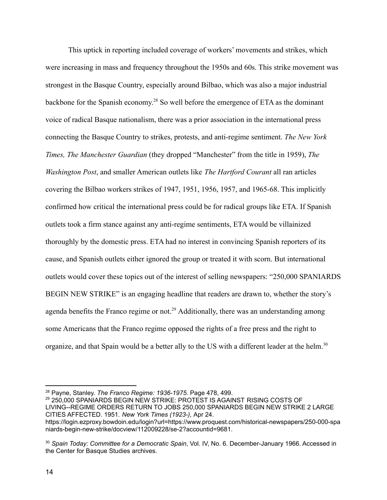This uptick in reporting included coverage of workers' movements and strikes, which were increasing in mass and frequency throughout the 1950s and 60s. This strike movement was strongest in the Basque Country, especially around Bilbao, which was also a major industrial backbone for the Spanish economy. <sup>28</sup> So well before the emergence of ETA as the dominant voice of radical Basque nationalism, there was a prior association in the international press connecting the Basque Country to strikes, protests, and anti-regime sentiment. *The New York Times, The Manchester Guardian* (they dropped "Manchester" from the title in 1959), *The Washington Post*, and smaller American outlets like *The Hartford Courant* all ran articles covering the Bilbao workers strikes of 1947, 1951, 1956, 1957, and 1965-68. This implicitly confirmed how critical the international press could be for radical groups like ETA. If Spanish outlets took a firm stance against any anti-regime sentiments, ETA would be villainized thoroughly by the domestic press. ETA had no interest in convincing Spanish reporters of its cause, and Spanish outlets either ignored the group or treated it with scorn. But international outlets would cover these topics out of the interest of selling newspapers: "250,000 SPANIARDS BEGIN NEW STRIKE" is an engaging headline that readers are drawn to, whether the story's agenda benefits the Franco regime or not.<sup>29</sup> Additionally, there was an understanding among some Americans that the Franco regime opposed the rights of a free press and the right to organize, and that Spain would be a better ally to the US with a different leader at the helm.<sup>30</sup>

<sup>29</sup> 250,000 SPANIARDS BEGIN NEW STRIKE: PROTEST IS AGAINST RISING COSTS OF LIVING--REGIME ORDERS RETURN TO JOBS 250,000 SPANIARDS BEGIN NEW STRIKE 2 LARGE CITIES AFFECTED. 1951. *New York Times (1923-),* Apr 24. https://login.ezproxy.bowdoin.edu/login?url=https://www.proquest.com/historical-newspapers/250-000-spa niards-begin-new-strike/docview/112009228/se-2?accountid=9681.

<sup>28</sup> Payne, Stanley. *The Franco Regime: 1936-1975*. Page 478, 499.

<sup>30</sup> *Spain Today: Committee for a Democratic Spain*, Vol. IV, No. 6. December-January 1966. Accessed in the Center for Basque Studies archives.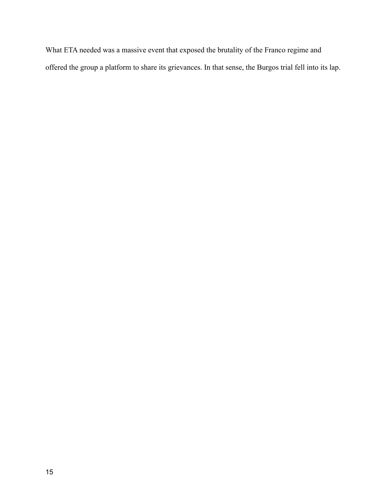What ETA needed was a massive event that exposed the brutality of the Franco regime and offered the group a platform to share its grievances. In that sense, the Burgos trial fell into its lap.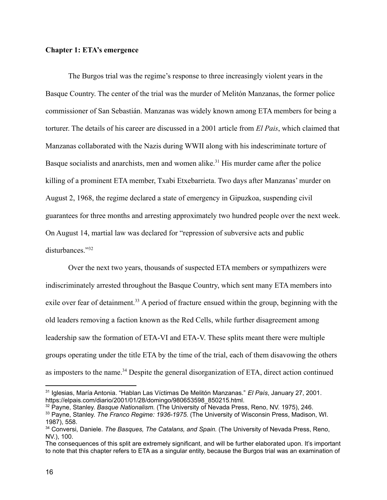#### **Chapter 1: ETA's emergence**

The Burgos trial was the regime's response to three increasingly violent years in the Basque Country. The center of the trial was the murder of Melitón Manzanas, the former police commissioner of San Sebastián. Manzanas was widely known among ETA members for being a torturer. The details of his career are discussed in a 2001 article from *El Pais*, which claimed that Manzanas collaborated with the Nazis during WWII along with his indescriminate torture of Basque socialists and anarchists, men and women alike.<sup>31</sup> His murder came after the police killing of a prominent ETA member, Txabi Etxebarrieta. Two days after Manzanas' murder on August 2, 1968, the regime declared a state of emergency in Gipuzkoa, suspending civil guarantees for three months and arresting approximately two hundred people over the next week. On August 14, martial law was declared for "repression of subversive acts and public disturbances."<sup>32</sup>

Over the next two years, thousands of suspected ETA members or sympathizers were indiscriminately arrested throughout the Basque Country, which sent many ETA members into exile over fear of detainment.<sup>33</sup> A period of fracture ensued within the group, beginning with the old leaders removing a faction known as the Red Cells, while further disagreement among leadership saw the formation of ETA-VI and ETA-V. These splits meant there were multiple groups operating under the title ETA by the time of the trial, each of them disavowing the others as imposters to the name.<sup>34</sup> Despite the general disorganization of ETA, direct action continued

<sup>31</sup> Iglesias, María Antonia. "Hablan Las Víctimas De Melitón Manzanas." *El País*, January 27, 2001. https://elpais.com/diario/2001/01/28/domingo/980653598\_850215.html.

<sup>33</sup> Payne, Stanley. *The Franco Regime: 1936-1975.* (The University of Wisconsin Press, Madison, WI. 1987), 558. <sup>32</sup> Payne, Stanley. *Basque Nationalism.* (The University of Nevada Press, Reno, NV. 1975), 246.

<sup>34</sup> Conversi, Daniele. *The Basques, The Catalans, and Spain.* (The University of Nevada Press, Reno, NV.), 100.

The consequences of this split are extremely significant, and will be further elaborated upon. It's important to note that this chapter refers to ETA as a singular entity, because the Burgos trial was an examination of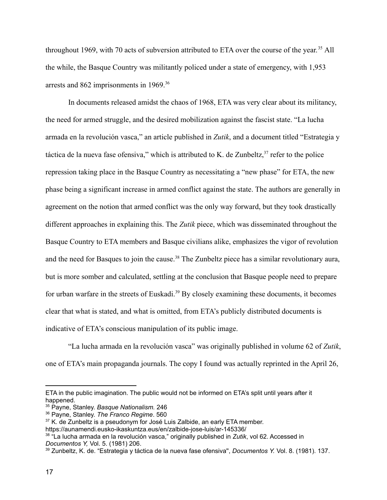throughout 1969, with 70 acts of subversion attributed to ETA over the course of the year. <sup>35</sup> All the while, the Basque Country was militantly policed under a state of emergency, with 1,953 arrests and 862 imprisonments in 1969.<sup>36</sup>

In documents released amidst the chaos of 1968, ETA was very clear about its militancy, the need for armed struggle, and the desired mobilization against the fascist state. "La lucha armada en la revolución vasca," an article published in *Zutik*, and a document titled "Estrategia y táctica de la nueva fase ofensiva," which is attributed to K. de Zunbeltz, $37$  refer to the police repression taking place in the Basque Country as necessitating a "new phase" for ETA, the new phase being a significant increase in armed conflict against the state. The authors are generally in agreement on the notion that armed conflict was the only way forward, but they took drastically different approaches in explaining this. The *Zutik* piece, which was disseminated throughout the Basque Country to ETA members and Basque civilians alike, emphasizes the vigor of revolution and the need for Basques to join the cause.<sup>38</sup> The Zunbeltz piece has a similar revolutionary aura, but is more somber and calculated, settling at the conclusion that Basque people need to prepare for urban warfare in the streets of Euskadi.<sup>39</sup> By closely examining these documents, it becomes clear that what is stated, and what is omitted, from ETA's publicly distributed documents is indicative of ETA's conscious manipulation of its public image.

"La lucha armada en la revolución vasca" was originally published in volume 62 of *Zutik*, one of ETA's main propaganda journals. The copy I found was actually reprinted in the April 26,

ETA in the public imagination. The public would not be informed on ETA's split until years after it happened.

<sup>35</sup> Payne, Stanley. *Basque Nationalism.* 246

<sup>36</sup> Payne, Stanley. *The Franco Regime*. 560

 $37$  K. de Zunbeltz is a pseudonym for José Luis Zalbide, an early ETA member.

https://aunamendi.eusko-ikaskuntza.eus/en/zalbide-jose-luis/ar-145336/

<sup>38</sup> "La lucha armada en la revolución vasca," originally published in *Zutik*, vol 62. Accessed in *Documentos Y,* Vol. 5. (1981) 206.

<sup>39</sup> Zunbeltz, K. de. "Estrategia y táctica de la nueva fase ofensiva'', *Documentos Y.* Vol. 8. (1981). 137.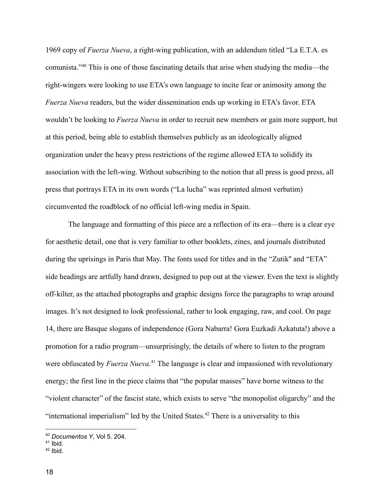1969 copy of *Fuerza Nueva*, a right-wing publication, with an addendum titled "La E.T.A. es comunista."<sup>40</sup> This is one of those fascinating details that arise when studying the media—the right-wingers were looking to use ETA's own language to incite fear or animosity among the *Fuerza Nueva* readers, but the wider dissemination ends up working in ETA's favor. ETA wouldn't be looking to *Fuerza Nueva* in order to recruit new members or gain more support, but at this period, being able to establish themselves publicly as an ideologically aligned organization under the heavy press restrictions of the regime allowed ETA to solidify its association with the left-wing. Without subscribing to the notion that all press is good press, all press that portrays ETA in its own words ("La lucha" was reprinted almost verbatim) circumvented the roadblock of no official left-wing media in Spain.

The language and formatting of this piece are a reflection of its era—there is a clear eye for aesthetic detail, one that is very familiar to other booklets, zines, and journals distributed during the uprisings in Paris that May. The fonts used for titles and in the "Zutik'' and "ETA" side headings are artfully hand drawn, designed to pop out at the viewer. Even the text is slightly off-kilter, as the attached photographs and graphic designs force the paragraphs to wrap around images. It's not designed to look professional, rather to look engaging, raw, and cool. On page 14, there are Basque slogans of independence (Gora Nabarra! Gora Euzkadi Azkatuta!) above a promotion for a radio program—unsurprisingly, the details of where to listen to the program were obfuscated by *Fuerza Nueva*. <sup>41</sup> The language is clear and impassioned with revolutionary energy; the first line in the piece claims that "the popular masses" have borne witness to the "violent character" of the fascist state, which exists to serve "the monopolist oligarchy" and the "international imperialism" led by the United States.<sup>42</sup> There is a universality to this

<sup>40</sup> *Documentos Y*, Vol 5. 204.

<sup>&</sup>lt;sup>41</sup> Ibid.

 $42$  Ibid.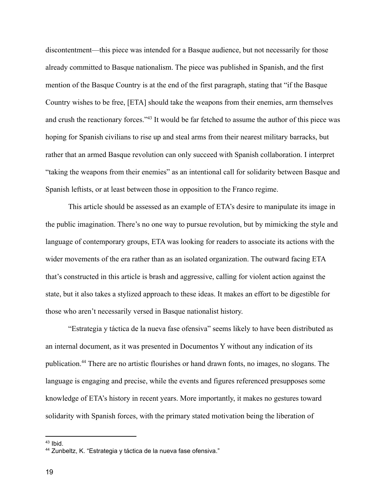discontentment—this piece was intended for a Basque audience, but not necessarily for those already committed to Basque nationalism. The piece was published in Spanish, and the first mention of the Basque Country is at the end of the first paragraph, stating that "if the Basque Country wishes to be free, [ETA] should take the weapons from their enemies, arm themselves and crush the reactionary forces."<sup>43</sup> It would be far fetched to assume the author of this piece was hoping for Spanish civilians to rise up and steal arms from their nearest military barracks, but rather that an armed Basque revolution can only succeed with Spanish collaboration. I interpret "taking the weapons from their enemies" as an intentional call for solidarity between Basque and Spanish leftists, or at least between those in opposition to the Franco regime.

This article should be assessed as an example of ETA's desire to manipulate its image in the public imagination. There's no one way to pursue revolution, but by mimicking the style and language of contemporary groups, ETA was looking for readers to associate its actions with the wider movements of the era rather than as an isolated organization. The outward facing ETA that's constructed in this article is brash and aggressive, calling for violent action against the state, but it also takes a stylized approach to these ideas. It makes an effort to be digestible for those who aren't necessarily versed in Basque nationalist history.

"Estrategia y táctica de la nueva fase ofensiva" seems likely to have been distributed as an internal document, as it was presented in Documentos Y without any indication of its publication.<sup>44</sup> There are no artistic flourishes or hand drawn fonts, no images, no slogans. The language is engaging and precise, while the events and figures referenced presupposes some knowledge of ETA's history in recent years. More importantly, it makes no gestures toward solidarity with Spanish forces, with the primary stated motivation being the liberation of

 $43$  Ibid.

<sup>44</sup> Zunbeltz, K. "Estrategia y táctica de la nueva fase ofensiva."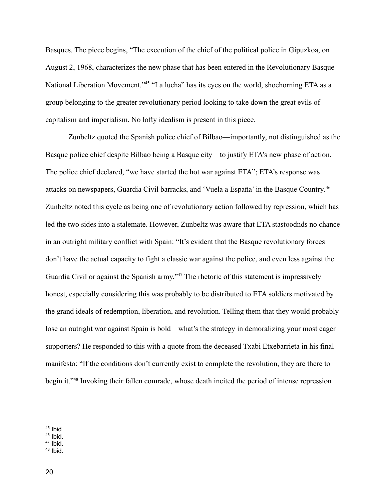Basques. The piece begins, "The execution of the chief of the political police in Gipuzkoa, on August 2, 1968, characterizes the new phase that has been entered in the Revolutionary Basque National Liberation Movement."<sup>45</sup> "La lucha" has its eyes on the world, shoehorning ETA as a group belonging to the greater revolutionary period looking to take down the great evils of capitalism and imperialism. No lofty idealism is present in this piece.

Zunbeltz quoted the Spanish police chief of Bilbao—importantly, not distinguished as the Basque police chief despite Bilbao being a Basque city—to justify ETA's new phase of action. The police chief declared, "we have started the hot war against ETA"; ETA's response was attacks on newspapers, Guardia Civil barracks, and 'Vuela a España' in the Basque Country. 46 Zunbeltz noted this cycle as being one of revolutionary action followed by repression, which has led the two sides into a stalemate. However, Zunbeltz was aware that ETA stastoodnds no chance in an outright military conflict with Spain: "It's evident that the Basque revolutionary forces don't have the actual capacity to fight a classic war against the police, and even less against the Guardia Civil or against the Spanish army."<sup>47</sup> The rhetoric of this statement is impressively honest, especially considering this was probably to be distributed to ETA soldiers motivated by the grand ideals of redemption, liberation, and revolution. Telling them that they would probably lose an outright war against Spain is bold—what's the strategy in demoralizing your most eager supporters? He responded to this with a quote from the deceased Txabi Etxebarrieta in his final manifesto: "If the conditions don't currently exist to complete the revolution, they are there to begin it."<sup>48</sup> Invoking their fallen comrade, whose death incited the period of intense repression

 $46$  Ibid.

 $48$  Ibid.

 $45$  Ibid.

 $47$  Ibid.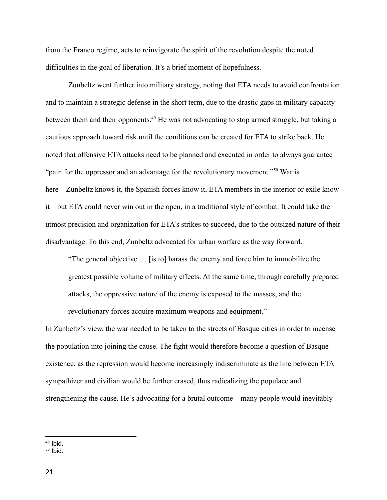from the Franco regime, acts to reinvigorate the spirit of the revolution despite the noted difficulties in the goal of liberation. It's a brief moment of hopefulness.

Zunbeltz went further into military strategy, noting that ETA needs to avoid confrontation and to maintain a strategic defense in the short term, due to the drastic gaps in military capacity between them and their opponents.<sup>49</sup> He was not advocating to stop armed struggle, but taking a cautious approach toward risk until the conditions can be created for ETA to strike back. He noted that offensive ETA attacks need to be planned and executed in order to always guarantee "pain for the oppressor and an advantage for the revolutionary movement."<sup>50</sup> War is here—Zunbeltz knows it, the Spanish forces know it, ETA members in the interior or exile know it—but ETA could never win out in the open, in a traditional style of combat. It eould take the utmost precision and organization for ETA's strikes to succeed, due to the outsized nature of their disadvantage. To this end, Zunbeltz advocated for urban warfare as the way forward.

"The general objective … [is to] harass the enemy and force him to immobilize the greatest possible volume of military effects. At the same time, through carefully prepared attacks, the oppressive nature of the enemy is exposed to the masses, and the revolutionary forces acquire maximum weapons and equipment."

In Zunbeltz's view, the war needed to be taken to the streets of Basque cities in order to incense the population into joining the cause. The fight would therefore become a question of Basque existence, as the repression would become increasingly indiscriminate as the line between ETA sympathizer and civilian would be further erased, thus radicalizing the populace and strengthening the cause. He's advocating for a brutal outcome—many people would inevitably

 $49$  Ibid.

 $50$  Ibid.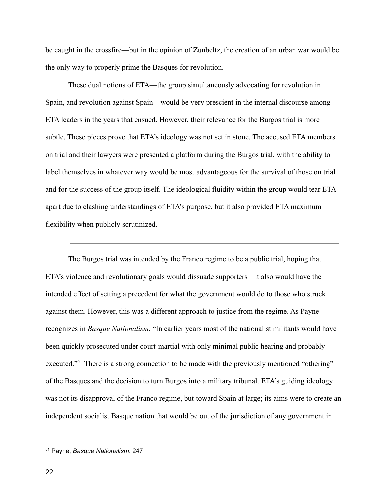be caught in the crossfire—but in the opinion of Zunbeltz, the creation of an urban war would be the only way to properly prime the Basques for revolution.

These dual notions of ETA—the group simultaneously advocating for revolution in Spain, and revolution against Spain—would be very prescient in the internal discourse among ETA leaders in the years that ensued. However, their relevance for the Burgos trial is more subtle. These pieces prove that ETA's ideology was not set in stone. The accused ETA members on trial and their lawyers were presented a platform during the Burgos trial, with the ability to label themselves in whatever way would be most advantageous for the survival of those on trial and for the success of the group itself. The ideological fluidity within the group would tear ETA apart due to clashing understandings of ETA's purpose, but it also provided ETA maximum flexibility when publicly scrutinized.

The Burgos trial was intended by the Franco regime to be a public trial, hoping that ETA's violence and revolutionary goals would dissuade supporters—it also would have the intended effect of setting a precedent for what the government would do to those who struck against them. However, this was a different approach to justice from the regime. As Payne recognizes in *Basque Nationalism*, "In earlier years most of the nationalist militants would have been quickly prosecuted under court-martial with only minimal public hearing and probably executed."<sup>51</sup> There is a strong connection to be made with the previously mentioned "othering" of the Basques and the decision to turn Burgos into a military tribunal. ETA's guiding ideology was not its disapproval of the Franco regime, but toward Spain at large; its aims were to create an independent socialist Basque nation that would be out of the jurisdiction of any government in

<sup>51</sup> Payne, *Basque Nationalism*. 247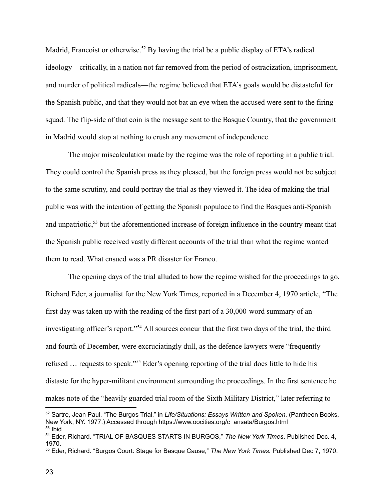Madrid, Francoist or otherwise.<sup>52</sup> By having the trial be a public display of ETA's radical ideology—critically, in a nation not far removed from the period of ostracization, imprisonment, and murder of political radicals—the regime believed that ETA's goals would be distasteful for the Spanish public, and that they would not bat an eye when the accused were sent to the firing squad. The flip-side of that coin is the message sent to the Basque Country, that the government in Madrid would stop at nothing to crush any movement of independence.

The major miscalculation made by the regime was the role of reporting in a public trial. They could control the Spanish press as they pleased, but the foreign press would not be subject to the same scrutiny, and could portray the trial as they viewed it. The idea of making the trial public was with the intention of getting the Spanish populace to find the Basques anti-Spanish and unpatriotic,<sup>53</sup> but the aforementioned increase of foreign influence in the country meant that the Spanish public received vastly different accounts of the trial than what the regime wanted them to read. What ensued was a PR disaster for Franco.

The opening days of the trial alluded to how the regime wished for the proceedings to go. Richard Eder, a journalist for the New York Times, reported in a December 4, 1970 article, "The first day was taken up with the reading of the first part of a 30,000-word summary of an investigating officer's report."<sup>54</sup> All sources concur that the first two days of the trial, the third and fourth of December, were excruciatingly dull, as the defence lawyers were "frequently refused … requests to speak."<sup>55</sup> Eder's opening reporting of the trial does little to hide his distaste for the hyper-militant environment surrounding the proceedings. In the first sentence he makes note of the "heavily guarded trial room of the Sixth Military District," later referring to

 $53$  Ibid. <sup>52</sup> Sartre, Jean Paul. "The Burgos Trial," in *Life/Situations: Essays Written and Spoken*. (Pantheon Books, New York, NY. 1977.) Accessed through https://www.oocities.org/c\_ansata/Burgos.html

<sup>54</sup> Eder, Richard. "TRIAL OF BASQUES STARTS IN BURGOS," *The New York Times*. Published Dec. 4, 1970.

<sup>55</sup> Eder, Richard. "Burgos Court: Stage for Basque Cause," *The New York Times.* Published Dec 7, 1970.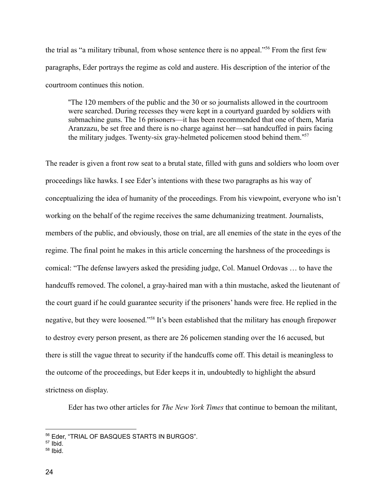the trial as "a military tribunal, from whose sentence there is no appeal."<sup>56</sup> From the first few paragraphs, Eder portrays the regime as cold and austere. His description of the interior of the courtroom continues this notion.

"The 120 members of the public and the 30 or so journalists allowed in the courtroom were searched. During recesses they were kept in a courtyard guarded by soldiers with submachine guns. The 16 prisoners—it has been recommended that one of them, Maria Aranzazu, be set free and there is no charge against her—sat handcuffed in pairs facing the military judges. Twenty-six gray-helmeted policemen stood behind them." 57

The reader is given a front row seat to a brutal state, filled with guns and soldiers who loom over proceedings like hawks. I see Eder's intentions with these two paragraphs as his way of conceptualizing the idea of humanity of the proceedings. From his viewpoint, everyone who isn't working on the behalf of the regime receives the same dehumanizing treatment. Journalists, members of the public, and obviously, those on trial, are all enemies of the state in the eyes of the regime. The final point he makes in this article concerning the harshness of the proceedings is comical: "The defense lawyers asked the presiding judge, Col. Manuel Ordovas … to have the handcuffs removed. The colonel, a gray-haired man with a thin mustache, asked the lieutenant of the court guard if he could guarantee security if the prisoners' hands were free. He replied in the negative, but they were loosened."<sup>58</sup> It's been established that the military has enough firepower to destroy every person present, as there are 26 policemen standing over the 16 accused, but there is still the vague threat to security if the handcuffs come off. This detail is meaningless to the outcome of the proceedings, but Eder keeps it in, undoubtedly to highlight the absurd strictness on display.

Eder has two other articles for *The New York Times* that continue to bemoan the militant,

<sup>56</sup> Eder, "TRIAL OF BASQUES STARTS IN BURGOS".

 $57$  Ibid.

 $58$  Ibid.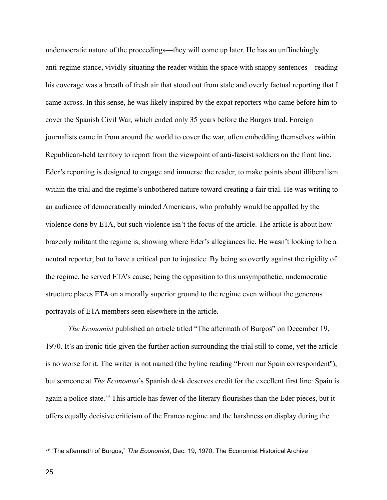undemocratic nature of the proceedings—they will come up later. He has an unflinchingly anti-regime stance, vividly situating the reader within the space with snappy sentences—reading his coverage was a breath of fresh air that stood out from stale and overly factual reporting that I came across. In this sense, he was likely inspired by the expat reporters who came before him to cover the Spanish Civil War, which ended only 35 years before the Burgos trial. Foreign journalists came in from around the world to cover the war, often embedding themselves within Republican-held territory to report from the viewpoint of anti-fascist soldiers on the front line. Eder's reporting is designed to engage and immerse the reader, to make points about illiberalism within the trial and the regime's unbothered nature toward creating a fair trial. He was writing to an audience of democratically minded Americans, who probably would be appalled by the violence done by ETA, but such violence isn't the focus of the article. The article is about how brazenly militant the regime is, showing where Eder's allegiances lie. He wasn't looking to be a neutral reporter, but to have a critical pen to injustice. By being so overtly against the rigidity of the regime, he served ETA's cause; being the opposition to this unsympathetic, undemocratic structure places ETA on a morally superior ground to the regime even without the generous portrayals of ETA members seen elsewhere in the article.

*The Economist* published an article titled "The aftermath of Burgos" on December 19, 1970. It's an ironic title given the further action surrounding the trial still to come, yet the article is no worse for it. The writer is not named (the byline reading "From our Spain correspondent''), but someone at *The Economist*'s Spanish desk deserves credit for the excellent first line: Spain is again a police state.<sup>59</sup> This article has fewer of the literary flourishes than the Eder pieces, but it offers equally decisive criticism of the Franco regime and the harshness on display during the

<sup>59</sup> "The aftermath of Burgos," *The Economist*, Dec. 19, 1970. The Economist Historical Archive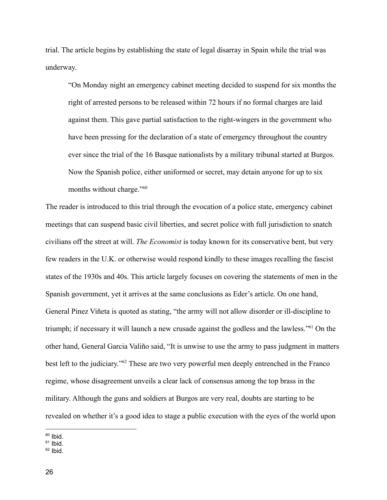trial. The article begins by establishing the state of legal disarray in Spain while the trial was underway.

"On Monday night an emergency cabinet meeting decided to suspend for six months the right of arrested persons to be released within 72 hours if no formal charges are laid against them. This gave partial satisfaction to the right-wingers in the government who have been pressing for the declaration of a state of emergency throughout the country ever since the trial of the 16 Basque nationalists by a military tribunal started at Burgos. Now the Spanish police, either uniformed or secret, may detain anyone for up to six months without charge."<sup>60</sup>

The reader is introduced to this trial through the evocation of a police state, emergency cabinet meetings that can suspend basic civil liberties, and secret police with full jurisdiction to snatch civilians off the street at will. *The Economist* is today known for its conservative bent, but very few readers in the U.K. or otherwise would respond kindly to these images recalling the fascist states of the 1930s and 40s. This article largely focuses on covering the statements of men in the Spanish government, yet it arrives at the same conclusions as Eder's article. On one hand, General Pinez Viñeta is quoted as stating, "the army will not allow disorder or ill-discipline to triumph; if necessary it will launch a new crusade against the godless and the lawless."<sup>61</sup> On the other hand, General Garcia Valiño said, "It is unwise to use the army to pass judgment in matters best left to the judiciary."<sup>62</sup> These are two very powerful men deeply entrenched in the Franco regime, whose disagreement unveils a clear lack of consensus among the top brass in the military. Although the guns and soldiers at Burgos are very real, doubts are starting to be revealed on whether it's a good idea to stage a public execution with the eyes of the world upon

 $60$  Ibid.

 $62$  Ibid.

 $61$  Ibid.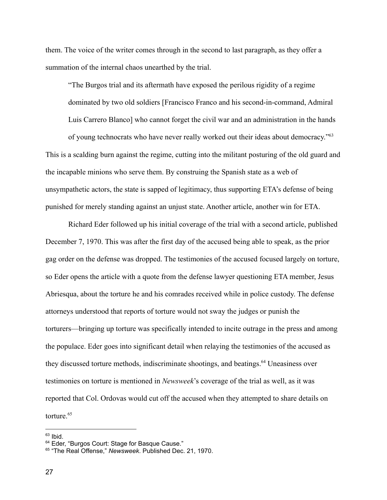them. The voice of the writer comes through in the second to last paragraph, as they offer a summation of the internal chaos unearthed by the trial.

"The Burgos trial and its aftermath have exposed the perilous rigidity of a regime dominated by two old soldiers [Francisco Franco and his second-in-command, Admiral Luis Carrero Blanco] who cannot forget the civil war and an administration in the hands

of young technocrats who have never really worked out their ideas about democracy."<sup>63</sup> This is a scalding burn against the regime, cutting into the militant posturing of the old guard and the incapable minions who serve them. By construing the Spanish state as a web of unsympathetic actors, the state is sapped of legitimacy, thus supporting ETA's defense of being punished for merely standing against an unjust state. Another article, another win for ETA.

Richard Eder followed up his initial coverage of the trial with a second article, published December 7, 1970. This was after the first day of the accused being able to speak, as the prior gag order on the defense was dropped. The testimonies of the accused focused largely on torture, so Eder opens the article with a quote from the defense lawyer questioning ETA member, Jesus Abriesqua, about the torture he and his comrades received while in police custody. The defense attorneys understood that reports of torture would not sway the judges or punish the torturers—bringing up torture was specifically intended to incite outrage in the press and among the populace. Eder goes into significant detail when relaying the testimonies of the accused as they discussed torture methods, indiscriminate shootings, and beatings.<sup>64</sup> Uneasiness over testimonies on torture is mentioned in *Newsweek*'s coverage of the trial as well, as it was reported that Col. Ordovas would cut off the accused when they attempted to share details on torture.<sup>65</sup>

 $63$  Ibid.

<sup>&</sup>lt;sup>64</sup> Eder, "Burgos Court: Stage for Basque Cause."

<sup>65</sup> "The Real Offense," *Newsweek*. Published Dec. 21, 1970.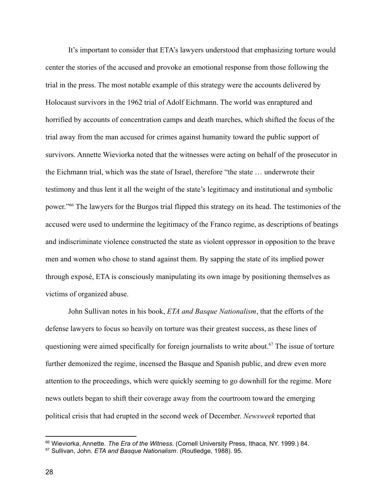It's important to consider that ETA's lawyers understood that emphasizing torture would center the stories of the accused and provoke an emotional response from those following the trial in the press. The most notable example of this strategy were the accounts delivered by Holocaust survivors in the 1962 trial of Adolf Eichmann. The world was enraptured and horrified by accounts of concentration camps and death marches, which shifted the focus of the trial away from the man accused for crimes against humanity toward the public support of survivors. Annette Wieviorka noted that the witnesses were acting on behalf of the prosecutor in the Eichmann trial, which was the state of Israel, therefore "the state … underwrote their testimony and thus lent it all the weight of the state's legitimacy and institutional and symbolic power."<sup>66</sup> The lawyers for the Burgos trial flipped this strategy on its head. The testimonies of the accused were used to undermine the legitimacy of the Franco regime, as descriptions of beatings and indiscriminate violence constructed the state as violent oppressor in opposition to the brave men and women who chose to stand against them. By sapping the state of its implied power through exposé, ETA is consciously manipulating its own image by positioning themselves as victims of organized abuse.

John Sullivan notes in his book, *ETA and Basque Nationalism*, that the efforts of the defense lawyers to focus so heavily on torture was their greatest success, as these lines of questioning were aimed specifically for foreign journalists to write about.<sup>67</sup> The issue of torture further demonized the regime, incensed the Basque and Spanish public, and drew even more attention to the proceedings, which were quickly seeming to go downhill for the regime. More news outlets began to shift their coverage away from the courtroom toward the emerging political crisis that had erupted in the second week of December. *Newsweek* reported that

<sup>66</sup> Wieviorka, Annette. *The Era of the Witness.* (Cornell University Press, Ithaca, NY. 1999.) 84.

<sup>67</sup> Sullivan, John. *ETA and Basque Nationalism*. (Routledge, 1988). 95.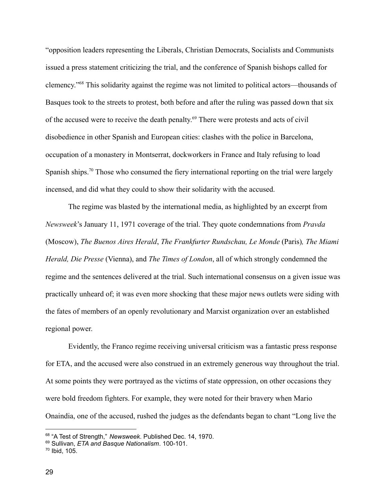"opposition leaders representing the Liberals, Christian Democrats, Socialists and Communists issued a press statement criticizing the trial, and the conference of Spanish bishops called for clemency."<sup>68</sup> This solidarity against the regime was not limited to political actors—thousands of Basques took to the streets to protest, both before and after the ruling was passed down that six of the accused were to receive the death penalty. <sup>69</sup> There were protests and acts of civil disobedience in other Spanish and European cities: clashes with the police in Barcelona, occupation of a monastery in Montserrat, dockworkers in France and Italy refusing to load Spanish ships.<sup>70</sup> Those who consumed the fiery international reporting on the trial were largely incensed, and did what they could to show their solidarity with the accused.

The regime was blasted by the international media, as highlighted by an excerpt from *Newsweek*'s January 11, 1971 coverage of the trial. They quote condemnations from *Pravda* (Moscow), *The Buenos Aires Herald*, *The Frankfurter Rundschau, Le Monde* (Paris)*, The Miami Herald, Die Presse* (Vienna), and *The Times of London*, all of which strongly condemned the regime and the sentences delivered at the trial. Such international consensus on a given issue was practically unheard of; it was even more shocking that these major news outlets were siding with the fates of members of an openly revolutionary and Marxist organization over an established regional power.

Evidently, the Franco regime receiving universal criticism was a fantastic press response for ETA, and the accused were also construed in an extremely generous way throughout the trial. At some points they were portrayed as the victims of state oppression, on other occasions they were bold freedom fighters. For example, they were noted for their bravery when Mario Onaindia, one of the accused, rushed the judges as the defendants began to chant "Long live the

<sup>68</sup> "A Test of Strength," *Newsweek*. Published Dec. 14, 1970.

<sup>69</sup> Sullivan, *ETA and Basque Nationalism*. 100-101.

<sup>70</sup> Ibid, 105.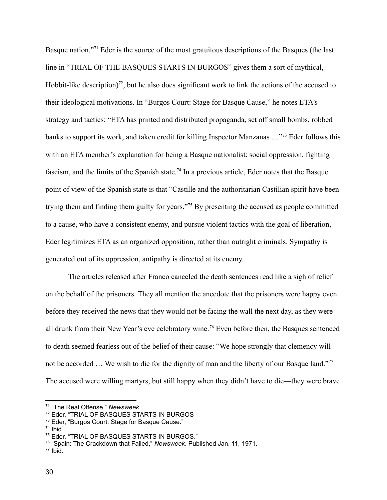Basque nation."<sup>71</sup> Eder is the source of the most gratuitous descriptions of the Basques (the last line in "TRIAL OF THE BASQUES STARTS IN BURGOS" gives them a sort of mythical, Hobbit-like description)<sup>72</sup>, but he also does significant work to link the actions of the accused to their ideological motivations. In "Burgos Court: Stage for Basque Cause," he notes ETA's strategy and tactics: "ETA has printed and distributed propaganda, set off small bombs, robbed banks to support its work, and taken credit for killing Inspector Manzanas ...<sup>773</sup> Eder follows this with an ETA member's explanation for being a Basque nationalist: social oppression, fighting fascism, and the limits of the Spanish state.<sup>74</sup> In a previous article, Eder notes that the Basque point of view of the Spanish state is that "Castille and the authoritarian Castilian spirit have been trying them and finding them guilty for years."<sup>75</sup> By presenting the accused as people committed to a cause, who have a consistent enemy, and pursue violent tactics with the goal of liberation, Eder legitimizes ETA as an organized opposition, rather than outright criminals. Sympathy is generated out of its oppression, antipathy is directed at its enemy.

The articles released after Franco canceled the death sentences read like a sigh of relief on the behalf of the prisoners. They all mention the anecdote that the prisoners were happy even before they received the news that they would not be facing the wall the next day, as they were all drunk from their New Year's eve celebratory wine.<sup>76</sup> Even before then, the Basques sentenced to death seemed fearless out of the belief of their cause: "We hope strongly that clemency will not be accorded ... We wish to die for the dignity of man and the liberty of our Basque land."<sup>77</sup> The accused were willing martyrs, but still happy when they didn't have to die—they were brave

<sup>71</sup> "The Real Offense," *Newsweek*.

<sup>72</sup> Eder, "TRIAL OF BASQUES STARTS IN BURGOS

<sup>73</sup> Eder, "Burgos Court: Stage for Basque Cause."

<sup>74</sup> Ibid.

<sup>75</sup> Eder, "TRIAL OF BASQUES STARTS IN BURGOS."

<sup>76</sup> "Spain: The Crackdown that Failed," *Newsweek*. Published Jan. 11, 1971.

 $77$  Ibid.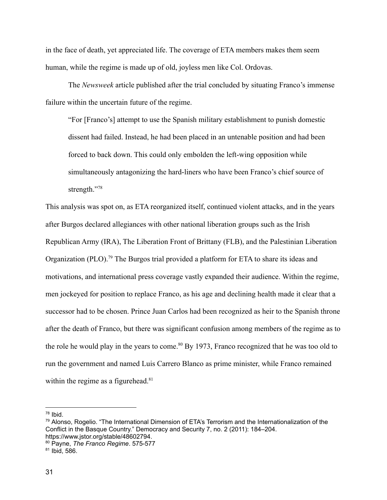in the face of death, yet appreciated life. The coverage of ETA members makes them seem human, while the regime is made up of old, joyless men like Col. Ordovas.

The *Newsweek* article published after the trial concluded by situating Franco's immense failure within the uncertain future of the regime.

"For [Franco's] attempt to use the Spanish military establishment to punish domestic dissent had failed. Instead, he had been placed in an untenable position and had been forced to back down. This could only embolden the left-wing opposition while simultaneously antagonizing the hard-liners who have been Franco's chief source of strength."<sup>78</sup>

This analysis was spot on, as ETA reorganized itself, continued violent attacks, and in the years after Burgos declared allegiances with other national liberation groups such as the Irish Republican Army (IRA), The Liberation Front of Brittany (FLB), and the Palestinian Liberation Organization (PLO).<sup>79</sup> The Burgos trial provided a platform for ETA to share its ideas and motivations, and international press coverage vastly expanded their audience. Within the regime, men jockeyed for position to replace Franco, as his age and declining health made it clear that a successor had to be chosen. Prince Juan Carlos had been recognized as heir to the Spanish throne after the death of Franco, but there was significant confusion among members of the regime as to the role he would play in the years to come.<sup>80</sup> By 1973, Franco recognized that he was too old to run the government and named Luis Carrero Blanco as prime minister, while Franco remained within the regime as a figurehead.<sup>81</sup>

<sup>78</sup> Ibid.

<sup>79</sup> Alonso, Rogelio. "The International Dimension of ETA's Terrorism and the Internationalization of the Conflict in the Basque Country." Democracy and Security 7, no. 2 (2011): 184–204. https://www.jstor.org/stable/48602794.

<sup>80</sup> Payne, *The Franco Regime*. 575-577

 $81$  Ibid, 586.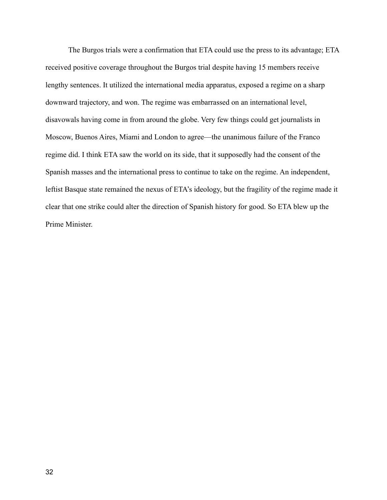The Burgos trials were a confirmation that ETA could use the press to its advantage; ETA received positive coverage throughout the Burgos trial despite having 15 members receive lengthy sentences. It utilized the international media apparatus, exposed a regime on a sharp downward trajectory, and won. The regime was embarrassed on an international level, disavowals having come in from around the globe. Very few things could get journalists in Moscow, Buenos Aires, Miami and London to agree—the unanimous failure of the Franco regime did. I think ETA saw the world on its side, that it supposedly had the consent of the Spanish masses and the international press to continue to take on the regime. An independent, leftist Basque state remained the nexus of ETA's ideology, but the fragility of the regime made it clear that one strike could alter the direction of Spanish history for good. So ETA blew up the Prime Minister.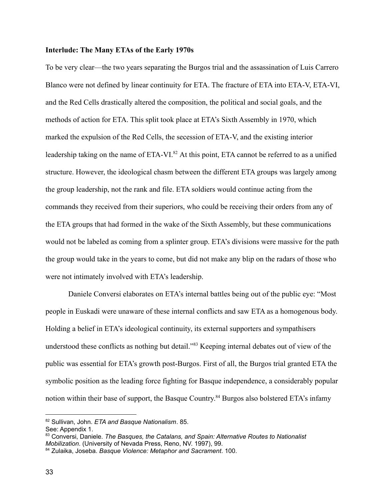#### **Interlude: The Many ETAs of the Early 1970s**

To be very clear—the two years separating the Burgos trial and the assassination of Luis Carrero Blanco were not defined by linear continuity for ETA. The fracture of ETA into ETA-V, ETA-VI, and the Red Cells drastically altered the composition, the political and social goals, and the methods of action for ETA. This split took place at ETA's Sixth Assembly in 1970, which marked the expulsion of the Red Cells, the secession of ETA-V, and the existing interior leadership taking on the name of ETA-VI.<sup>82</sup> At this point, ETA cannot be referred to as a unified structure. However, the ideological chasm between the different ETA groups was largely among the group leadership, not the rank and file. ETA soldiers would continue acting from the commands they received from their superiors, who could be receiving their orders from any of the ETA groups that had formed in the wake of the Sixth Assembly, but these communications would not be labeled as coming from a splinter group. ETA's divisions were massive for the path the group would take in the years to come, but did not make any blip on the radars of those who were not intimately involved with ETA's leadership.

Daniele Conversi elaborates on ETA's internal battles being out of the public eye: "Most people in Euskadi were unaware of these internal conflicts and saw ETA as a homogenous body. Holding a belief in ETA's ideological continuity, its external supporters and sympathisers understood these conflicts as nothing but detail."<sup>83</sup> Keeping internal debates out of view of the public was essential for ETA's growth post-Burgos. First of all, the Burgos trial granted ETA the symbolic position as the leading force fighting for Basque independence, a considerably popular notion within their base of support, the Basque Country.<sup>84</sup> Burgos also bolstered ETA's infamy

<sup>82</sup> Sullivan, John. *ETA and Basque Nationalism*. 85.

See: Appendix 1.

<sup>83</sup> Conversi, Daniele. *The Basques, the Catalans, and Spain: Alternative Routes to Nationalist Mobilization*. (University of Nevada Press, Reno, NV. 1997), 99.

<sup>84</sup> Zulaika, Joseba. *Basque Violence: Metaphor and Sacrament*. 100.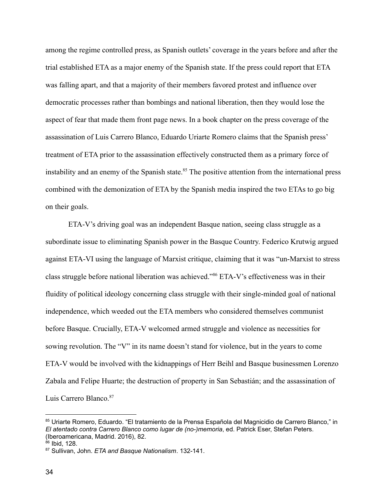among the regime controlled press, as Spanish outlets' coverage in the years before and after the trial established ETA as a major enemy of the Spanish state. If the press could report that ETA was falling apart, and that a majority of their members favored protest and influence over democratic processes rather than bombings and national liberation, then they would lose the aspect of fear that made them front page news. In a book chapter on the press coverage of the assassination of Luis Carrero Blanco, Eduardo Uriarte Romero claims that the Spanish press' treatment of ETA prior to the assassination effectively constructed them as a primary force of instability and an enemy of the Spanish state.<sup>85</sup> The positive attention from the international press combined with the demonization of ETA by the Spanish media inspired the two ETAs to go big on their goals.

ETA-V's driving goal was an independent Basque nation, seeing class struggle as a subordinate issue to eliminating Spanish power in the Basque Country. Federico Krutwig argued against ETA-VI using the language of Marxist critique, claiming that it was "un-Marxist to stress class struggle before national liberation was achieved."<sup>86</sup> ETA-V's effectiveness was in their fluidity of political ideology concerning class struggle with their single-minded goal of national independence, which weeded out the ETA members who considered themselves communist before Basque. Crucially, ETA-V welcomed armed struggle and violence as necessities for sowing revolution. The "V" in its name doesn't stand for violence, but in the years to come ETA-V would be involved with the kidnappings of Herr Beihl and Basque businessmen Lorenzo Zabala and Felipe Huarte; the destruction of property in San Sebastián; and the assassination of Luis Carrero Blanco.<sup>87</sup>

<sup>85</sup> Uriarte Romero, Eduardo. "El tratamiento de la Prensa Española del Magnicidio de Carrero Blanco," in *El atentado contra Carrero Blanco como lugar de (no-)memoria*, ed. Patrick Eser, Stefan Peters. (Iberoamericana, Madrid. 2016), 82.

 $\frac{\dot{86}}{6}$  Ibid, 128.

<sup>87</sup> Sullivan, John. *ETA and Basque Nationalism*. 132-141.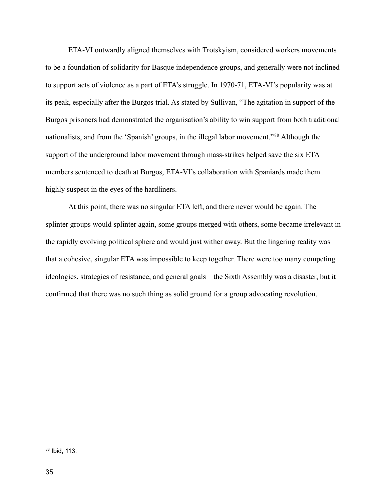ETA-VI outwardly aligned themselves with Trotskyism, considered workers movements to be a foundation of solidarity for Basque independence groups, and generally were not inclined to support acts of violence as a part of ETA's struggle. In 1970-71, ETA-VI's popularity was at its peak, especially after the Burgos trial. As stated by Sullivan, "The agitation in support of the Burgos prisoners had demonstrated the organisation's ability to win support from both traditional nationalists, and from the 'Spanish' groups, in the illegal labor movement."<sup>88</sup> Although the support of the underground labor movement through mass-strikes helped save the six ETA members sentenced to death at Burgos, ETA-VI's collaboration with Spaniards made them highly suspect in the eyes of the hardliners.

At this point, there was no singular ETA left, and there never would be again. The splinter groups would splinter again, some groups merged with others, some became irrelevant in the rapidly evolving political sphere and would just wither away. But the lingering reality was that a cohesive, singular ETA was impossible to keep together. There were too many competing ideologies, strategies of resistance, and general goals—the Sixth Assembly was a disaster, but it confirmed that there was no such thing as solid ground for a group advocating revolution.

<sup>88</sup> Ibid, 113.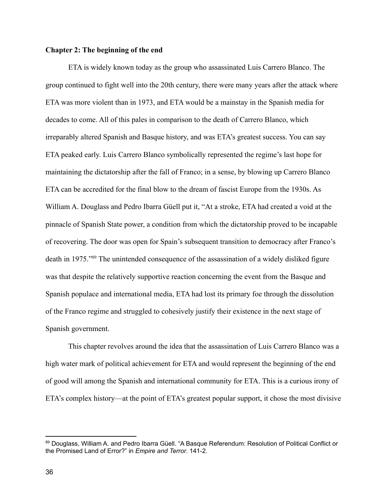#### **Chapter 2: The beginning of the end**

ETA is widely known today as the group who assassinated Luis Carrero Blanco. The group continued to fight well into the 20th century, there were many years after the attack where ETA was more violent than in 1973, and ETA would be a mainstay in the Spanish media for decades to come. All of this pales in comparison to the death of Carrero Blanco, which irreparably altered Spanish and Basque history, and was ETA's greatest success. You can say ETA peaked early. Luis Carrero Blanco symbolically represented the regime's last hope for maintaining the dictatorship after the fall of Franco; in a sense, by blowing up Carrero Blanco ETA can be accredited for the final blow to the dream of fascist Europe from the 1930s. As William A. Douglass and Pedro Ibarra Güell put it, "At a stroke, ETA had created a void at the pinnacle of Spanish State power, a condition from which the dictatorship proved to be incapable of recovering. The door was open for Spain's subsequent transition to democracy after Franco's death in 1975."<sup>89</sup> The unintended consequence of the assassination of a widely disliked figure was that despite the relatively supportive reaction concerning the event from the Basque and Spanish populace and international media, ETA had lost its primary foe through the dissolution of the Franco regime and struggled to cohesively justify their existence in the next stage of Spanish government.

This chapter revolves around the idea that the assassination of Luis Carrero Blanco was a high water mark of political achievement for ETA and would represent the beginning of the end of good will among the Spanish and international community for ETA. This is a curious irony of ETA's complex history—at the point of ETA's greatest popular support, it chose the most divisive

<sup>89</sup> Douglass, William A. and Pedro Ibarra Güell. "A Basque Referendum: Resolution of Political Conflict or the Promised Land of Error?" in *Empire and Terror*. 141-2.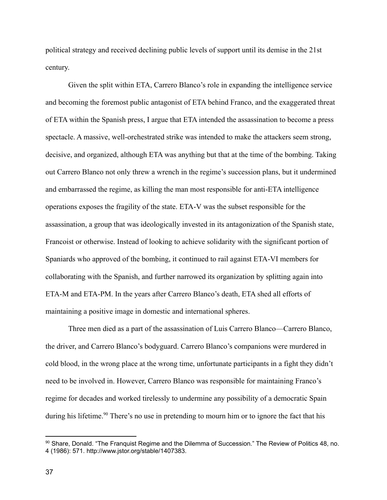political strategy and received declining public levels of support until its demise in the 21st century.

Given the split within ETA, Carrero Blanco's role in expanding the intelligence service and becoming the foremost public antagonist of ETA behind Franco, and the exaggerated threat of ETA within the Spanish press, I argue that ETA intended the assassination to become a press spectacle. A massive, well-orchestrated strike was intended to make the attackers seem strong, decisive, and organized, although ETA was anything but that at the time of the bombing. Taking out Carrero Blanco not only threw a wrench in the regime's succession plans, but it undermined and embarrassed the regime, as killing the man most responsible for anti-ETA intelligence operations exposes the fragility of the state. ETA-V was the subset responsible for the assassination, a group that was ideologically invested in its antagonization of the Spanish state, Francoist or otherwise. Instead of looking to achieve solidarity with the significant portion of Spaniards who approved of the bombing, it continued to rail against ETA-VI members for collaborating with the Spanish, and further narrowed its organization by splitting again into ETA-M and ETA-PM. In the years after Carrero Blanco's death, ETA shed all efforts of maintaining a positive image in domestic and international spheres.

Three men died as a part of the assassination of Luis Carrero Blanco—Carrero Blanco, the driver, and Carrero Blanco's bodyguard. Carrero Blanco's companions were murdered in cold blood, in the wrong place at the wrong time, unfortunate participants in a fight they didn't need to be involved in. However, Carrero Blanco was responsible for maintaining Franco's regime for decades and worked tirelessly to undermine any possibility of a democratic Spain during his lifetime.<sup>90</sup> There's no use in pretending to mourn him or to ignore the fact that his

<sup>90</sup> Share, Donald. "The Franquist Regime and the Dilemma of Succession." The Review of Politics 48, no. 4 (1986): 571. http://www.jstor.org/stable/1407383.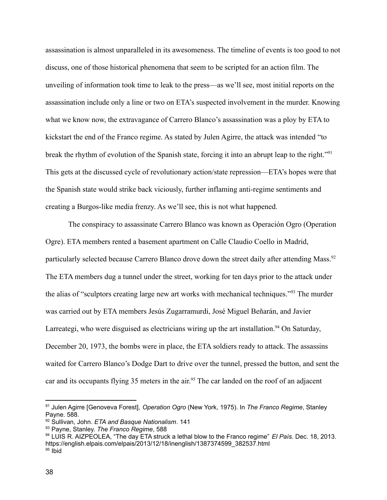assassination is almost unparalleled in its awesomeness. The timeline of events is too good to not discuss, one of those historical phenomena that seem to be scripted for an action film. The unveiling of information took time to leak to the press—as we'll see, most initial reports on the assassination include only a line or two on ETA's suspected involvement in the murder. Knowing what we know now, the extravagance of Carrero Blanco's assassination was a ploy by ETA to kickstart the end of the Franco regime. As stated by Julen Agirre, the attack was intended "to break the rhythm of evolution of the Spanish state, forcing it into an abrupt leap to the right."<sup>91</sup> This gets at the discussed cycle of revolutionary action/state repression—ETA's hopes were that the Spanish state would strike back viciously, further inflaming anti-regime sentiments and creating a Burgos-like media frenzy. As we'll see, this is not what happened.

The conspiracy to assassinate Carrero Blanco was known as Operación Ogro (Operation Ogre). ETA members rented a basement apartment on Calle Claudio Coello in Madrid, particularly selected because Carrero Blanco drove down the street daily after attending Mass.<sup>92</sup> The ETA members dug a tunnel under the street, working for ten days prior to the attack under the alias of "sculptors creating large new art works with mechanical techniques."<sup>93</sup> The murder was carried out by ETA members Jesús Zugarramurdi, José Miguel Beñarán, and Javier Larreategi, who were disguised as electricians wiring up the art installation.<sup>94</sup> On Saturday, December 20, 1973, the bombs were in place, the ETA soldiers ready to attack. The assassins waited for Carrero Blanco's Dodge Dart to drive over the tunnel, pressed the button, and sent the car and its occupants flying 35 meters in the air.<sup>95</sup> The car landed on the roof of an adjacent

<sup>91</sup> Julen Agirre [Genoveva Forest], *Operation Ogro* (New York, 1975). In *The Franco Regime*, Stanley Payne. 588.

<sup>92</sup> Sullivan, John. *ETA and Basque Nationalism*. 141

<sup>93</sup> Payne, Stanley. *The Franco Regime*, 588

 $95$  lbid <sup>94</sup> LUIS R. AIZPEOLEA, "The day ETA struck a lethal blow to the Franco regime" *El País.* Dec. 18, 2013. https://english.elpais.com/elpais/2013/12/18/inenglish/1387374599\_382537.html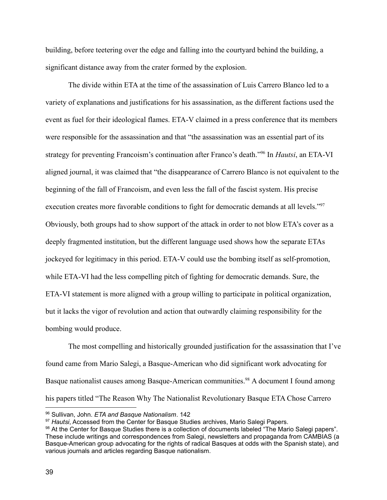building, before teetering over the edge and falling into the courtyard behind the building, a significant distance away from the crater formed by the explosion.

The divide within ETA at the time of the assassination of Luis Carrero Blanco led to a variety of explanations and justifications for his assassination, as the different factions used the event as fuel for their ideological flames. ETA-V claimed in a press conference that its members were responsible for the assassination and that "the assassination was an essential part of its strategy for preventing Francoism's continuation after Franco's death."<sup>96</sup> In *Hautsi*, an ETA-VI aligned journal, it was claimed that "the disappearance of Carrero Blanco is not equivalent to the beginning of the fall of Francoism, and even less the fall of the fascist system. His precise execution creates more favorable conditions to fight for democratic demands at all levels."97 Obviously, both groups had to show support of the attack in order to not blow ETA's cover as a deeply fragmented institution, but the different language used shows how the separate ETAs jockeyed for legitimacy in this period. ETA-V could use the bombing itself as self-promotion, while ETA-VI had the less compelling pitch of fighting for democratic demands. Sure, the ETA-VI statement is more aligned with a group willing to participate in political organization, but it lacks the vigor of revolution and action that outwardly claiming responsibility for the bombing would produce.

The most compelling and historically grounded justification for the assassination that I've found came from Mario Salegi, a Basque-American who did significant work advocating for Basque nationalist causes among Basque-American communities.<sup>98</sup> A document I found among his papers titled "The Reason Why The Nationalist Revolutionary Basque ETA Chose Carrero

<sup>96</sup> Sullivan, John. *ETA and Basque Nationalism*. 142

<sup>97</sup> *Hautsi*, Accessed from the Center for Basque Studies archives, Mario Salegi Papers.

<sup>98</sup> At the Center for Basque Studies there is a collection of documents labeled "The Mario Salegi papers". These include writings and correspondences from Salegi, newsletters and propaganda from CAMBIAS (a Basque-American group advocating for the rights of radical Basques at odds with the Spanish state), and various journals and articles regarding Basque nationalism.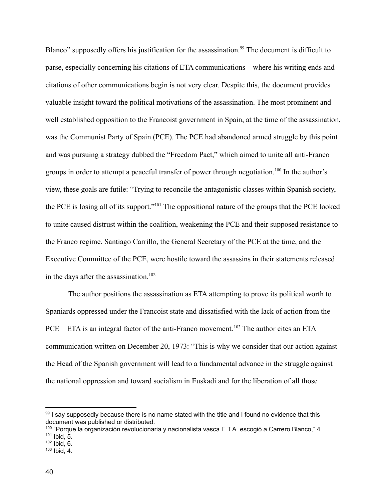Blanco" supposedly offers his justification for the assassination.<sup>99</sup> The document is difficult to parse, especially concerning his citations of ETA communications—where his writing ends and citations of other communications begin is not very clear. Despite this, the document provides valuable insight toward the political motivations of the assassination. The most prominent and well established opposition to the Francoist government in Spain, at the time of the assassination, was the Communist Party of Spain (PCE). The PCE had abandoned armed struggle by this point and was pursuing a strategy dubbed the "Freedom Pact," which aimed to unite all anti-Franco groups in order to attempt a peaceful transfer of power through negotiation.<sup>100</sup> In the author's view, these goals are futile: "Trying to reconcile the antagonistic classes within Spanish society, the PCE is losing all of its support."<sup>101</sup> The oppositional nature of the groups that the PCE looked to unite caused distrust within the coalition, weakening the PCE and their supposed resistance to the Franco regime. Santiago Carrillo, the General Secretary of the PCE at the time, and the Executive Committee of the PCE, were hostile toward the assassins in their statements released in the days after the assassination.<sup>102</sup>

The author positions the assassination as ETA attempting to prove its political worth to Spaniards oppressed under the Francoist state and dissatisfied with the lack of action from the PCE—ETA is an integral factor of the anti-Franco movement.<sup>103</sup> The author cites an ETA communication written on December 20, 1973: "This is why we consider that our action against the Head of the Spanish government will lead to a fundamental advance in the struggle against the national oppression and toward socialism in Euskadi and for the liberation of all those

<sup>99</sup> I say supposedly because there is no name stated with the title and I found no evidence that this document was published or distributed.

 $101$  Ibid, 5. <sup>100</sup> "Porque la organización revolucionaria y nacionalista vasca E.T.A. escogió a Carrero Blanco," 4.

 $102$  Ibid, 6.

 $103$  Ibid, 4.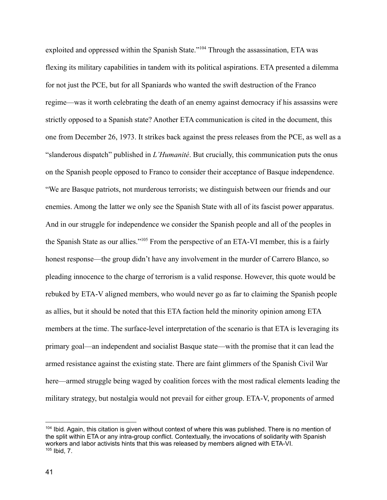exploited and oppressed within the Spanish State."<sup>104</sup> Through the assassination, ETA was flexing its military capabilities in tandem with its political aspirations. ETA presented a dilemma for not just the PCE, but for all Spaniards who wanted the swift destruction of the Franco regime—was it worth celebrating the death of an enemy against democracy if his assassins were strictly opposed to a Spanish state? Another ETA communication is cited in the document, this one from December 26, 1973. It strikes back against the press releases from the PCE, as well as a "slanderous dispatch" published in *L'Humanité*. But crucially, this communication puts the onus on the Spanish people opposed to Franco to consider their acceptance of Basque independence. "We are Basque patriots, not murderous terrorists; we distinguish between our friends and our enemies. Among the latter we only see the Spanish State with all of its fascist power apparatus. And in our struggle for independence we consider the Spanish people and all of the peoples in the Spanish State as our allies."<sup>105</sup> From the perspective of an ETA-VI member, this is a fairly honest response—the group didn't have any involvement in the murder of Carrero Blanco, so pleading innocence to the charge of terrorism is a valid response. However, this quote would be rebuked by ETA-V aligned members, who would never go as far to claiming the Spanish people as allies, but it should be noted that this ETA faction held the minority opinion among ETA members at the time. The surface-level interpretation of the scenario is that ETA is leveraging its primary goal—an independent and socialist Basque state—with the promise that it can lead the armed resistance against the existing state. There are faint glimmers of the Spanish Civil War here—armed struggle being waged by coalition forces with the most radical elements leading the military strategy, but nostalgia would not prevail for either group. ETA-V, proponents of armed

 $105$  Ibid,  $7<sub>1</sub>$ <sup>104</sup> Ibid. Again, this citation is given without context of where this was published. There is no mention of the split within ETA or any intra-group conflict. Contextually, the invocations of solidarity with Spanish workers and labor activists hints that this was released by members aligned with ETA-VI.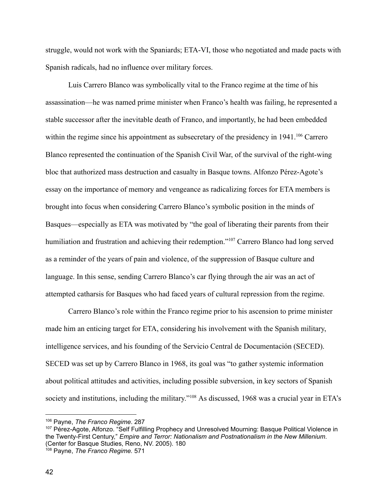struggle, would not work with the Spaniards; ETA-VI, those who negotiated and made pacts with Spanish radicals, had no influence over military forces.

Luis Carrero Blanco was symbolically vital to the Franco regime at the time of his assassination—he was named prime minister when Franco's health was failing, he represented a stable successor after the inevitable death of Franco, and importantly, he had been embedded within the regime since his appointment as subsecretary of the presidency in 1941.<sup>106</sup> Carrero Blanco represented the continuation of the Spanish Civil War, of the survival of the right-wing bloc that authorized mass destruction and casualty in Basque towns. Alfonzo Pérez-Agote's essay on the importance of memory and vengeance as radicalizing forces for ETA members is brought into focus when considering Carrero Blanco's symbolic position in the minds of Basques—especially as ETA was motivated by "the goal of liberating their parents from their humiliation and frustration and achieving their redemption."<sup>107</sup> Carrero Blanco had long served as a reminder of the years of pain and violence, of the suppression of Basque culture and language. In this sense, sending Carrero Blanco's car flying through the air was an act of attempted catharsis for Basques who had faced years of cultural repression from the regime.

Carrero Blanco's role within the Franco regime prior to his ascension to prime minister made him an enticing target for ETA, considering his involvement with the Spanish military, intelligence services, and his founding of the Servicio Central de Documentación (SECED). SECED was set up by Carrero Blanco in 1968, its goal was "to gather systemic information about political attitudes and activities, including possible subversion, in key sectors of Spanish society and institutions, including the military."<sup>108</sup> As discussed, 1968 was a crucial year in ETA's

<sup>106</sup> Payne, *The Franco Regime*. 287

<sup>&</sup>lt;sup>107</sup> Pérez-Agote, Alfonzo. "Self Fulfilling Prophecy and Unresolved Mourning: Basque Political Violence in the Twenty-First Century," *Empire and Terror: Nationalism and Postnationalism in the New Millenium*. (Center for Basque Studies, Reno, NV. 2005). 180

<sup>108</sup> Payne, *The Franco Regime.* 571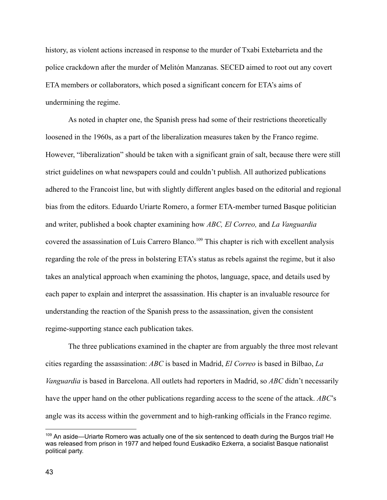history, as violent actions increased in response to the murder of Txabi Extebarrieta and the police crackdown after the murder of Melitón Manzanas. SECED aimed to root out any covert ETA members or collaborators, which posed a significant concern for ETA's aims of undermining the regime.

As noted in chapter one, the Spanish press had some of their restrictions theoretically loosened in the 1960s, as a part of the liberalization measures taken by the Franco regime. However, "liberalization" should be taken with a significant grain of salt, because there were still strict guidelines on what newspapers could and couldn't publish. All authorized publications adhered to the Francoist line, but with slightly different angles based on the editorial and regional bias from the editors. Eduardo Uriarte Romero, a former ETA-member turned Basque politician and writer, published a book chapter examining how *ABC, El Correo,* and *La Vanguardia* covered the assassination of Luis Carrero Blanco.<sup>109</sup> This chapter is rich with excellent analysis regarding the role of the press in bolstering ETA's status as rebels against the regime, but it also takes an analytical approach when examining the photos, language, space, and details used by each paper to explain and interpret the assassination. His chapter is an invaluable resource for understanding the reaction of the Spanish press to the assassination, given the consistent regime-supporting stance each publication takes.

The three publications examined in the chapter are from arguably the three most relevant cities regarding the assassination: *ABC* is based in Madrid, *El Correo* is based in Bilbao, *La Vanguardia* is based in Barcelona. All outlets had reporters in Madrid, so *ABC* didn't necessarily have the upper hand on the other publications regarding access to the scene of the attack. *ABC*'s angle was its access within the government and to high-ranking officials in the Franco regime.

<sup>109</sup> An aside—Uriarte Romero was actually one of the six sentenced to death during the Burgos trial! He was released from prison in 1977 and helped found Euskadiko Ezkerra, a socialist Basque nationalist political party.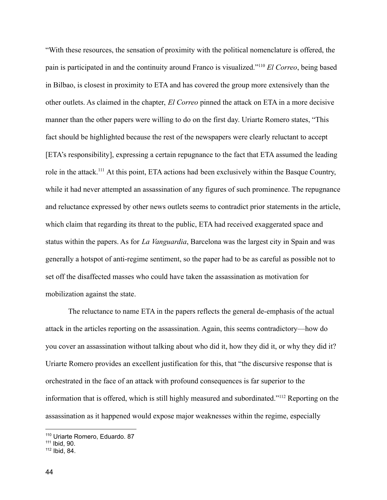"With these resources, the sensation of proximity with the political nomenclature is offered, the pain is participated in and the continuity around Franco is visualized."<sup>110</sup> *El Correo*, being based in Bilbao, is closest in proximity to ETA and has covered the group more extensively than the other outlets. As claimed in the chapter, *El Correo* pinned the attack on ETA in a more decisive manner than the other papers were willing to do on the first day. Uriarte Romero states, "This fact should be highlighted because the rest of the newspapers were clearly reluctant to accept [ETA's responsibility], expressing a certain repugnance to the fact that ETA assumed the leading role in the attack.<sup>111</sup> At this point, ETA actions had been exclusively within the Basque Country, while it had never attempted an assassination of any figures of such prominence. The repugnance and reluctance expressed by other news outlets seems to contradict prior statements in the article, which claim that regarding its threat to the public, ETA had received exaggerated space and status within the papers. As for *La Vanguardia*, Barcelona was the largest city in Spain and was generally a hotspot of anti-regime sentiment, so the paper had to be as careful as possible not to set off the disaffected masses who could have taken the assassination as motivation for mobilization against the state.

The reluctance to name ETA in the papers reflects the general de-emphasis of the actual attack in the articles reporting on the assassination. Again, this seems contradictory—how do you cover an assassination without talking about who did it, how they did it, or why they did it? Uriarte Romero provides an excellent justification for this, that "the discursive response that is orchestrated in the face of an attack with profound consequences is far superior to the information that is offered, which is still highly measured and subordinated."<sup>112</sup> Reporting on the assassination as it happened would expose major weaknesses within the regime, especially

<sup>110</sup> Uriarte Romero, Eduardo. 87

<sup>111</sup> Ibid, 90.

 $112$  Ibid, 84.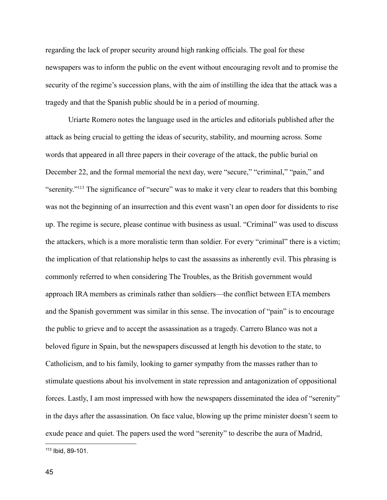regarding the lack of proper security around high ranking officials. The goal for these newspapers was to inform the public on the event without encouraging revolt and to promise the security of the regime's succession plans, with the aim of instilling the idea that the attack was a tragedy and that the Spanish public should be in a period of mourning.

Uriarte Romero notes the language used in the articles and editorials published after the attack as being crucial to getting the ideas of security, stability, and mourning across. Some words that appeared in all three papers in their coverage of the attack, the public burial on December 22, and the formal memorial the next day, were "secure," "criminal," "pain," and "serenity."<sup>113</sup> The significance of "secure" was to make it very clear to readers that this bombing was not the beginning of an insurrection and this event wasn't an open door for dissidents to rise up. The regime is secure, please continue with business as usual. "Criminal" was used to discuss the attackers, which is a more moralistic term than soldier. For every "criminal" there is a victim; the implication of that relationship helps to cast the assassins as inherently evil. This phrasing is commonly referred to when considering The Troubles, as the British government would approach IRA members as criminals rather than soldiers—the conflict between ETA members and the Spanish government was similar in this sense. The invocation of "pain" is to encourage the public to grieve and to accept the assassination as a tragedy. Carrero Blanco was not a beloved figure in Spain, but the newspapers discussed at length his devotion to the state, to Catholicism, and to his family, looking to garner sympathy from the masses rather than to stimulate questions about his involvement in state repression and antagonization of oppositional forces. Lastly, I am most impressed with how the newspapers disseminated the idea of "serenity" in the days after the assassination. On face value, blowing up the prime minister doesn't seem to exude peace and quiet. The papers used the word "serenity" to describe the aura of Madrid,

<sup>113</sup> Ibid, 89-101.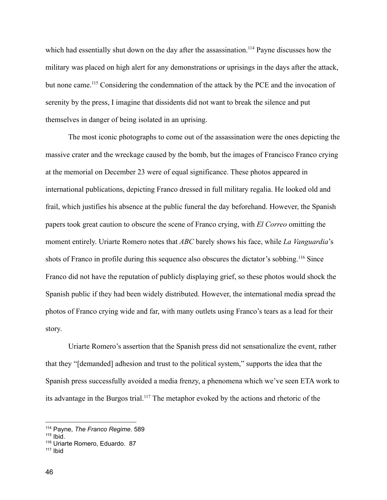which had essentially shut down on the day after the assassination.<sup>114</sup> Payne discusses how the military was placed on high alert for any demonstrations or uprisings in the days after the attack, but none came.<sup>115</sup> Considering the condemnation of the attack by the PCE and the invocation of serenity by the press, I imagine that dissidents did not want to break the silence and put themselves in danger of being isolated in an uprising.

The most iconic photographs to come out of the assassination were the ones depicting the massive crater and the wreckage caused by the bomb, but the images of Francisco Franco crying at the memorial on December 23 were of equal significance. These photos appeared in international publications, depicting Franco dressed in full military regalia. He looked old and frail, which justifies his absence at the public funeral the day beforehand. However, the Spanish papers took great caution to obscure the scene of Franco crying, with *El Correo* omitting the moment entirely. Uriarte Romero notes that *ABC* barely shows his face, while *La Vanguardia*'s shots of Franco in profile during this sequence also obscures the dictator's sobbing.<sup>116</sup> Since Franco did not have the reputation of publicly displaying grief, so these photos would shock the Spanish public if they had been widely distributed. However, the international media spread the photos of Franco crying wide and far, with many outlets using Franco's tears as a lead for their story.

Uriarte Romero's assertion that the Spanish press did not sensationalize the event, rather that they "[demanded] adhesion and trust to the political system," supports the idea that the Spanish press successfully avoided a media frenzy, a phenomena which we've seen ETA work to its advantage in the Burgos trial.<sup>117</sup> The metaphor evoked by the actions and rhetoric of the

<sup>114</sup> Payne, *The Franco Regime*. 589

 $115$  Ibid.

<sup>116</sup> Uriarte Romero, Eduardo. 87

 $117$  Ibid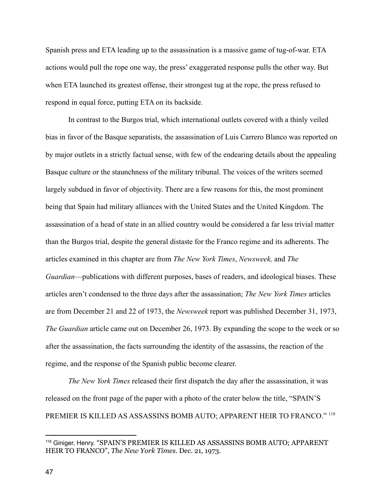Spanish press and ETA leading up to the assassination is a massive game of tug-of-war. ETA actions would pull the rope one way, the press' exaggerated response pulls the other way. But when ETA launched its greatest offense, their strongest tug at the rope, the press refused to respond in equal force, putting ETA on its backside.

In contrast to the Burgos trial, which international outlets covered with a thinly veiled bias in favor of the Basque separatists, the assassination of Luis Carrero Blanco was reported on by major outlets in a strictly factual sense, with few of the endearing details about the appealing Basque culture or the staunchness of the military tribunal. The voices of the writers seemed largely subdued in favor of objectivity. There are a few reasons for this, the most prominent being that Spain had military alliances with the United States and the United Kingdom. The assassination of a head of state in an allied country would be considered a far less trivial matter than the Burgos trial, despite the general distaste for the Franco regime and its adherents. The articles examined in this chapter are from *The New York Times*, *Newsweek,* and *The Guardian*—publications with different purposes, bases of readers, and ideological biases. These articles aren't condensed to the three days after the assassination; *The New York Times* articles are from December 21 and 22 of 1973, the *Newsweek* report was published December 31, 1973, *The Guardian* article came out on December 26, 1973. By expanding the scope to the week or so after the assassination, the facts surrounding the identity of the assassins, the reaction of the regime, and the response of the Spanish public become clearer.

*The New York Times* released their first dispatch the day after the assassination, it was released on the front page of the paper with a photo of the crater below the title, "SPAIN'S PREMIER IS KILLED AS ASSASSINS BOMB AUTO; APPARENT HEIR TO FRANCO." <sup>118</sup>

<sup>118</sup> Giniger, Henry. "SPAIN'S PREMIER IS KILLED AS ASSASSINS BOMB AUTO; APPARENT HEIR TO FRANCO", *The New York Times*. Dec. 21, 1973.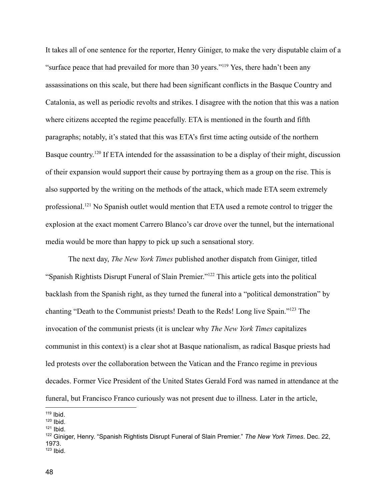It takes all of one sentence for the reporter, Henry Giniger, to make the very disputable claim of a "surface peace that had prevailed for more than 30 years."<sup>119</sup> Yes, there hadn't been any assassinations on this scale, but there had been significant conflicts in the Basque Country and Catalonia, as well as periodic revolts and strikes. I disagree with the notion that this was a nation where citizens accepted the regime peacefully. ETA is mentioned in the fourth and fifth paragraphs; notably, it's stated that this was ETA's first time acting outside of the northern Basque country.<sup>120</sup> If ETA intended for the assassination to be a display of their might, discussion of their expansion would support their cause by portraying them as a group on the rise. This is also supported by the writing on the methods of the attack, which made ETA seem extremely professional.<sup>121</sup> No Spanish outlet would mention that ETA used a remote control to trigger the explosion at the exact moment Carrero Blanco's car drove over the tunnel, but the international media would be more than happy to pick up such a sensational story.

The next day, *The New York Times* published another dispatch from Giniger, titled "Spanish Rightists Disrupt Funeral of Slain Premier."<sup>122</sup> This article gets into the political backlash from the Spanish right, as they turned the funeral into a "political demonstration" by chanting "Death to the Communist priests! Death to the Reds! Long live Spain."<sup>123</sup> The invocation of the communist priests (it is unclear why *The New York Times* capitalizes communist in this context) is a clear shot at Basque nationalism, as radical Basque priests had led protests over the collaboration between the Vatican and the Franco regime in previous decades. Former Vice President of the United States Gerald Ford was named in attendance at the funeral, but Francisco Franco curiously was not present due to illness. Later in the article,

- $120$  Ibid.
- $121$  Ibid.

<sup>119</sup> Ibid.

 $123$  Ibid. <sup>122</sup> Giniger, Henry. "Spanish Rightists Disrupt Funeral of Slain Premier." *The New York Times*. Dec. 22, 1973.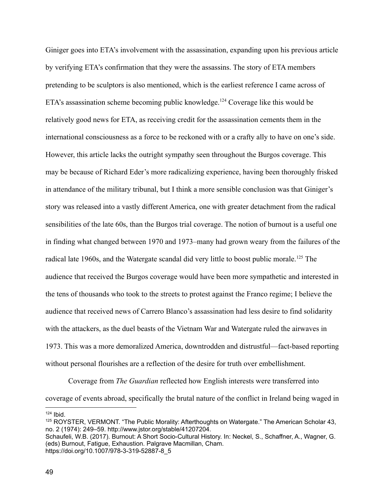Giniger goes into ETA's involvement with the assassination, expanding upon his previous article by verifying ETA's confirmation that they were the assassins. The story of ETA members pretending to be sculptors is also mentioned, which is the earliest reference I came across of ETA's assassination scheme becoming public knowledge.<sup>124</sup> Coverage like this would be relatively good news for ETA, as receiving credit for the assassination cements them in the international consciousness as a force to be reckoned with or a crafty ally to have on one's side. However, this article lacks the outright sympathy seen throughout the Burgos coverage. This may be because of Richard Eder's more radicalizing experience, having been thoroughly frisked in attendance of the military tribunal, but I think a more sensible conclusion was that Giniger's story was released into a vastly different America, one with greater detachment from the radical sensibilities of the late 60s, than the Burgos trial coverage. The notion of burnout is a useful one in finding what changed between 1970 and 1973–many had grown weary from the failures of the radical late 1960s, and the Watergate scandal did very little to boost public morale.<sup>125</sup> The audience that received the Burgos coverage would have been more sympathetic and interested in the tens of thousands who took to the streets to protest against the Franco regime; I believe the audience that received news of Carrero Blanco's assassination had less desire to find solidarity with the attackers, as the duel beasts of the Vietnam War and Watergate ruled the airwaves in 1973. This was a more demoralized America, downtrodden and distrustful—fact-based reporting without personal flourishes are a reflection of the desire for truth over embellishment.

Coverage from *The Guardian* reflected how English interests were transferred into coverage of events abroad, specifically the brutal nature of the conflict in Ireland being waged in

 $124$  Ibid.

<sup>125</sup> ROYSTER, VERMONT. "The Public Morality: Afterthoughts on Watergate." The American Scholar 43, no. 2 (1974): 249–59. http://www.jstor.org/stable/41207204.

Schaufeli, W.B. (2017). Burnout: A Short Socio-Cultural History. In: Neckel, S., Schaffner, A., Wagner, G. (eds) Burnout, Fatigue, Exhaustion. Palgrave Macmillan, Cham. https://doi.org/10.1007/978-3-319-52887-8\_5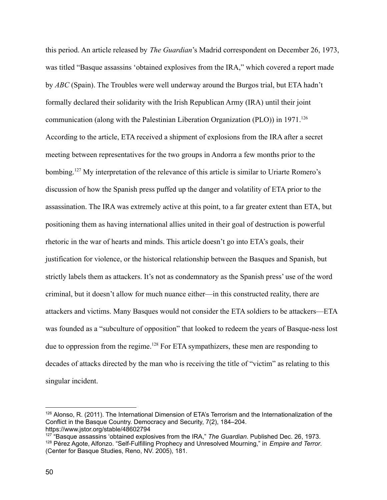this period. An article released by *The Guardian*'s Madrid correspondent on December 26, 1973, was titled "Basque assassins 'obtained explosives from the IRA," which covered a report made by *ABC* (Spain). The Troubles were well underway around the Burgos trial, but ETA hadn't formally declared their solidarity with the Irish Republican Army (IRA) until their joint communication (along with the Palestinian Liberation Organization (PLO)) in  $1971$ <sup>126</sup> According to the article, ETA received a shipment of explosions from the IRA after a secret meeting between representatives for the two groups in Andorra a few months prior to the bombing.<sup>127</sup> My interpretation of the relevance of this article is similar to Uriarte Romero's discussion of how the Spanish press puffed up the danger and volatility of ETA prior to the assassination. The IRA was extremely active at this point, to a far greater extent than ETA, but positioning them as having international allies united in their goal of destruction is powerful rhetoric in the war of hearts and minds. This article doesn't go into ETA's goals, their justification for violence, or the historical relationship between the Basques and Spanish, but strictly labels them as attackers. It's not as condemnatory as the Spanish press' use of the word criminal, but it doesn't allow for much nuance either—in this constructed reality, there are attackers and victims. Many Basques would not consider the ETA soldiers to be attackers—ETA was founded as a "subculture of opposition" that looked to redeem the years of Basque-ness lost due to oppression from the regime.<sup>128</sup> For ETA sympathizers, these men are responding to decades of attacks directed by the man who is receiving the title of "victim" as relating to this singular incident.

 $126$  Alonso, R. (2011). The International Dimension of ETA's Terrorism and the Internationalization of the Conflict in the Basque Country. Democracy and Security, 7(2), 184–204. https://www.jstor.org/stable/48602794

<sup>128</sup> Pérez Agote, Alfonzo. "Self-Fulfilling Prophecy and Unresolved Mourning," in *Empire and Terror*. (Center for Basque Studies, Reno, NV. 2005), 181. 127 "Basque assassins 'obtained explosives from the IRA," *The Guardian*. Published Dec. 26, 1973.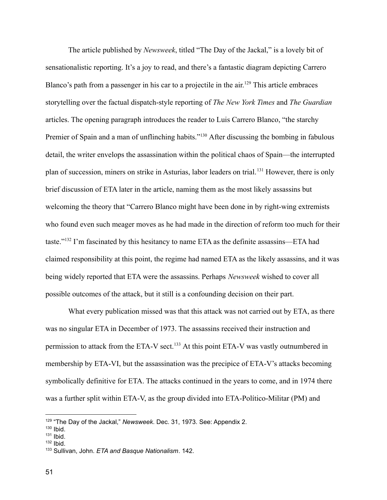The article published by *Newsweek*, titled "The Day of the Jackal," is a lovely bit of sensationalistic reporting. It's a joy to read, and there's a fantastic diagram depicting Carrero Blanco's path from a passenger in his car to a projectile in the air.<sup>129</sup> This article embraces storytelling over the factual dispatch-style reporting of *The New York Times* and *The Guardian* articles. The opening paragraph introduces the reader to Luis Carrero Blanco, "the starchy Premier of Spain and a man of unflinching habits."<sup>130</sup> After discussing the bombing in fabulous detail, the writer envelops the assassination within the political chaos of Spain—the interrupted plan of succession, miners on strike in Asturias, labor leaders on trial.<sup>131</sup> However, there is only brief discussion of ETA later in the article, naming them as the most likely assassins but welcoming the theory that "Carrero Blanco might have been done in by right-wing extremists who found even such meager moves as he had made in the direction of reform too much for their taste."<sup>132</sup> I'm fascinated by this hesitancy to name ETA as the definite assassins—ETA had claimed responsibility at this point, the regime had named ETA as the likely assassins, and it was being widely reported that ETA were the assassins. Perhaps *Newsweek* wished to cover all possible outcomes of the attack, but it still is a confounding decision on their part.

What every publication missed was that this attack was not carried out by ETA, as there was no singular ETA in December of 1973. The assassins received their instruction and permission to attack from the ETA-V sect.<sup>133</sup> At this point ETA-V was vastly outnumbered in membership by ETA-VI, but the assassination was the precipice of ETA-V's attacks becoming symbolically definitive for ETA. The attacks continued in the years to come, and in 1974 there was a further split within ETA-V, as the group divided into ETA-Político-Militar (PM) and

<sup>&</sup>lt;sup>129</sup> "The Day of the Jackal," Newsweek. Dec. 31, 1973. See: Appendix 2.

 $130$  Ibid.

<sup>131</sup> Ibid.

 $132$  Ibid.

<sup>133</sup> Sullivan, John. *ETA and Basque Nationalism*. 142.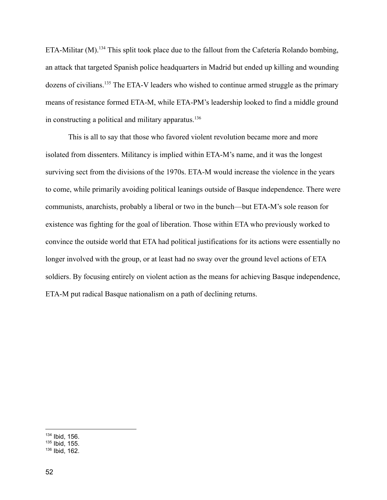ETA-Militar (M).<sup>134</sup> This split took place due to the fallout from the Cafetería Rolando bombing, an attack that targeted Spanish police headquarters in Madrid but ended up killing and wounding dozens of civilians.<sup>135</sup> The ETA-V leaders who wished to continue armed struggle as the primary means of resistance formed ETA-M, while ETA-PM's leadership looked to find a middle ground in constructing a political and military apparatus.<sup>136</sup>

This is all to say that those who favored violent revolution became more and more isolated from dissenters. Militancy is implied within ETA-M's name, and it was the longest surviving sect from the divisions of the 1970s. ETA-M would increase the violence in the years to come, while primarily avoiding political leanings outside of Basque independence. There were communists, anarchists, probably a liberal or two in the bunch—but ETA-M's sole reason for existence was fighting for the goal of liberation. Those within ETA who previously worked to convince the outside world that ETA had political justifications for its actions were essentially no longer involved with the group, or at least had no sway over the ground level actions of ETA soldiers. By focusing entirely on violent action as the means for achieving Basque independence, ETA-M put radical Basque nationalism on a path of declining returns.

<sup>134</sup> Ibid, 156.

 $135$  Ibid, 155.

 $136$  Ibid, 162.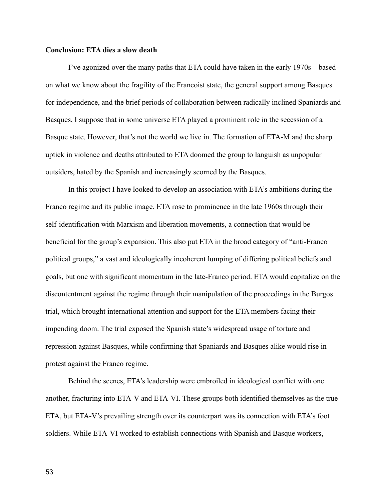#### **Conclusion: ETA dies a slow death**

I've agonized over the many paths that ETA could have taken in the early 1970s—based on what we know about the fragility of the Francoist state, the general support among Basques for independence, and the brief periods of collaboration between radically inclined Spaniards and Basques, I suppose that in some universe ETA played a prominent role in the secession of a Basque state. However, that's not the world we live in. The formation of ETA-M and the sharp uptick in violence and deaths attributed to ETA doomed the group to languish as unpopular outsiders, hated by the Spanish and increasingly scorned by the Basques.

In this project I have looked to develop an association with ETA's ambitions during the Franco regime and its public image. ETA rose to prominence in the late 1960s through their self-identification with Marxism and liberation movements, a connection that would be beneficial for the group's expansion. This also put ETA in the broad category of "anti-Franco political groups," a vast and ideologically incoherent lumping of differing political beliefs and goals, but one with significant momentum in the late-Franco period. ETA would capitalize on the discontentment against the regime through their manipulation of the proceedings in the Burgos trial, which brought international attention and support for the ETA members facing their impending doom. The trial exposed the Spanish state's widespread usage of torture and repression against Basques, while confirming that Spaniards and Basques alike would rise in protest against the Franco regime.

Behind the scenes, ETA's leadership were embroiled in ideological conflict with one another, fracturing into ETA-V and ETA-VI. These groups both identified themselves as the true ETA, but ETA-V's prevailing strength over its counterpart was its connection with ETA's foot soldiers. While ETA-VI worked to establish connections with Spanish and Basque workers,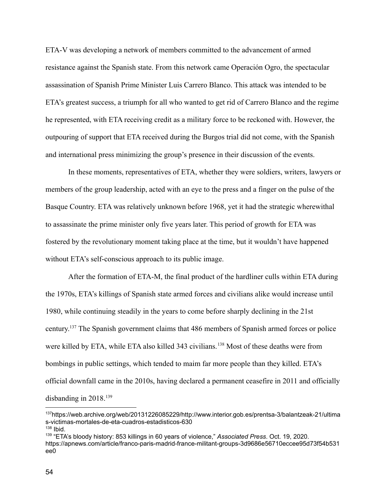ETA-V was developing a network of members committed to the advancement of armed resistance against the Spanish state. From this network came Operación Ogro, the spectacular assassination of Spanish Prime Minister Luis Carrero Blanco. This attack was intended to be ETA's greatest success, a triumph for all who wanted to get rid of Carrero Blanco and the regime he represented, with ETA receiving credit as a military force to be reckoned with. However, the outpouring of support that ETA received during the Burgos trial did not come, with the Spanish and international press minimizing the group's presence in their discussion of the events.

In these moments, representatives of ETA, whether they were soldiers, writers, lawyers or members of the group leadership, acted with an eye to the press and a finger on the pulse of the Basque Country. ETA was relatively unknown before 1968, yet it had the strategic wherewithal to assassinate the prime minister only five years later. This period of growth for ETA was fostered by the revolutionary moment taking place at the time, but it wouldn't have happened without ETA's self-conscious approach to its public image.

After the formation of ETA-M, the final product of the hardliner culls within ETA during the 1970s, ETA's killings of Spanish state armed forces and civilians alike would increase until 1980, while continuing steadily in the years to come before sharply declining in the 21st century. <sup>137</sup> The Spanish government claims that 486 members of Spanish armed forces or police were killed by ETA, while ETA also killed 343 civilians.<sup>138</sup> Most of these deaths were from bombings in public settings, which tended to maim far more people than they killed. ETA's official downfall came in the 2010s, having declared a permanent ceasefire in 2011 and officially disbanding in  $2018$ <sup>139</sup>

 $138$  Ibid. <sup>137</sup>https://web.archive.org/web/20131226085229/http://www.interior.gob.es/prentsa-3/balantzeak-21/ultima s-victimas-mortales-de-eta-cuadros-estadisticos-630

<sup>139</sup> "ETA's bloody history: 853 killings in 60 years of violence," *Associated Press*. Oct. 19, 2020. https://apnews.com/article/franco-paris-madrid-france-militant-groups-3d9686e56710eccee95d73f54b531 ee0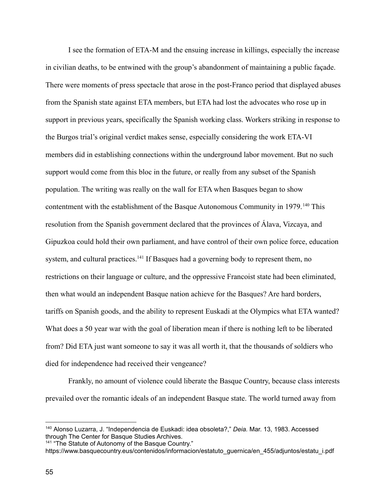I see the formation of ETA-M and the ensuing increase in killings, especially the increase in civilian deaths, to be entwined with the group's abandonment of maintaining a public façade. There were moments of press spectacle that arose in the post-Franco period that displayed abuses from the Spanish state against ETA members, but ETA had lost the advocates who rose up in support in previous years, specifically the Spanish working class. Workers striking in response to the Burgos trial's original verdict makes sense, especially considering the work ETA-VI members did in establishing connections within the underground labor movement. But no such support would come from this bloc in the future, or really from any subset of the Spanish population. The writing was really on the wall for ETA when Basques began to show contentment with the establishment of the Basque Autonomous Community in 1979.<sup>140</sup> This resolution from the Spanish government declared that the provinces of Álava, Vizcaya, and Gipuzkoa could hold their own parliament, and have control of their own police force, education system, and cultural practices.<sup>141</sup> If Basques had a governing body to represent them, no restrictions on their language or culture, and the oppressive Francoist state had been eliminated, then what would an independent Basque nation achieve for the Basques? Are hard borders, tariffs on Spanish goods, and the ability to represent Euskadi at the Olympics what ETA wanted? What does a 50 year war with the goal of liberation mean if there is nothing left to be liberated from? Did ETA just want someone to say it was all worth it, that the thousands of soldiers who died for independence had received their vengeance?

Frankly, no amount of violence could liberate the Basque Country, because class interests prevailed over the romantic ideals of an independent Basque state. The world turned away from

<sup>140</sup> Alonso Luzarra, J. "Independencia de Euskadi: idea obsoleta?," *Deia.* Mar. 13, 1983. Accessed through The Center for Basque Studies Archives.

<sup>&</sup>lt;sup>141</sup> "The Statute of Autonomy of the Basque Country." https://www.basquecountry.eus/contenidos/informacion/estatuto\_guernica/en\_455/adjuntos/estatu\_i.pdf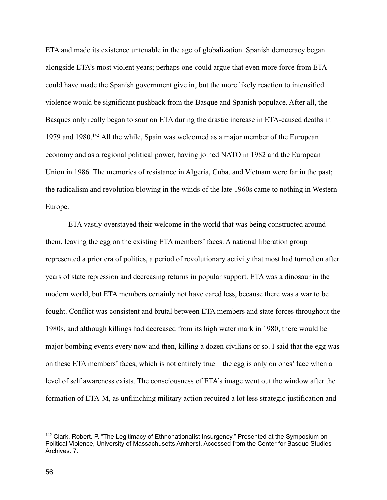ETA and made its existence untenable in the age of globalization. Spanish democracy began alongside ETA's most violent years; perhaps one could argue that even more force from ETA could have made the Spanish government give in, but the more likely reaction to intensified violence would be significant pushback from the Basque and Spanish populace. After all, the Basques only really began to sour on ETA during the drastic increase in ETA-caused deaths in 1979 and 1980.<sup>142</sup> All the while, Spain was welcomed as a major member of the European economy and as a regional political power, having joined NATO in 1982 and the European Union in 1986. The memories of resistance in Algeria, Cuba, and Vietnam were far in the past; the radicalism and revolution blowing in the winds of the late 1960s came to nothing in Western Europe.

ETA vastly overstayed their welcome in the world that was being constructed around them, leaving the egg on the existing ETA members' faces. A national liberation group represented a prior era of politics, a period of revolutionary activity that most had turned on after years of state repression and decreasing returns in popular support. ETA was a dinosaur in the modern world, but ETA members certainly not have cared less, because there was a war to be fought. Conflict was consistent and brutal between ETA members and state forces throughout the 1980s, and although killings had decreased from its high water mark in 1980, there would be major bombing events every now and then, killing a dozen civilians or so. I said that the egg was on these ETA members' faces, which is not entirely true—the egg is only on ones' face when a level of self awareness exists. The consciousness of ETA's image went out the window after the formation of ETA-M, as unflinching military action required a lot less strategic justification and

<sup>&</sup>lt;sup>142</sup> Clark, Robert. P. "The Legitimacy of Ethnonationalist Insurgency," Presented at the Symposium on Political Violence, University of Massachusetts Amherst. Accessed from the Center for Basque Studies Archives. 7.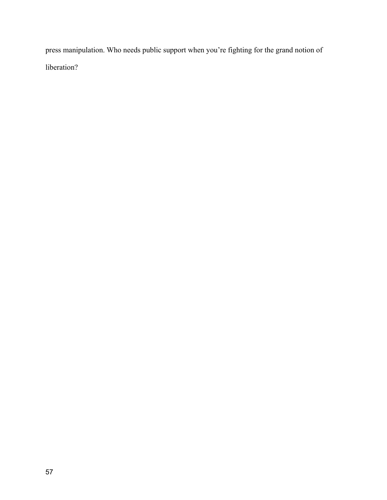press manipulation. Who needs public support when you're fighting for the grand notion of liberation?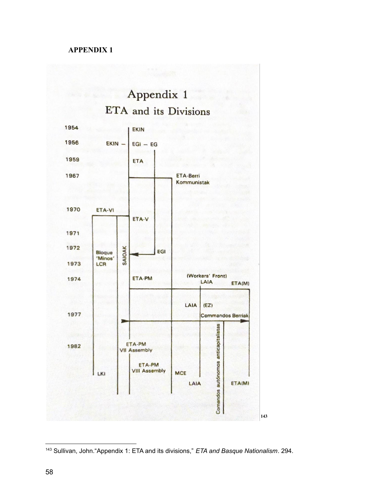### **APPENDIX 1**



Sullivan, John."Appendix 1: ETA and its divisions," *ETA and Basque Nationalism*. 294.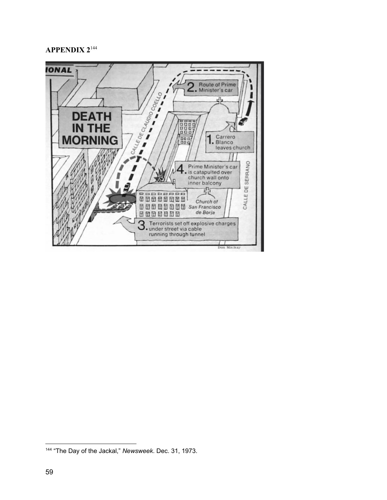## **APPENDIX 2**<sup>144</sup>



"The Day of the Jackal," *Newsweek*. Dec. 31, 1973.